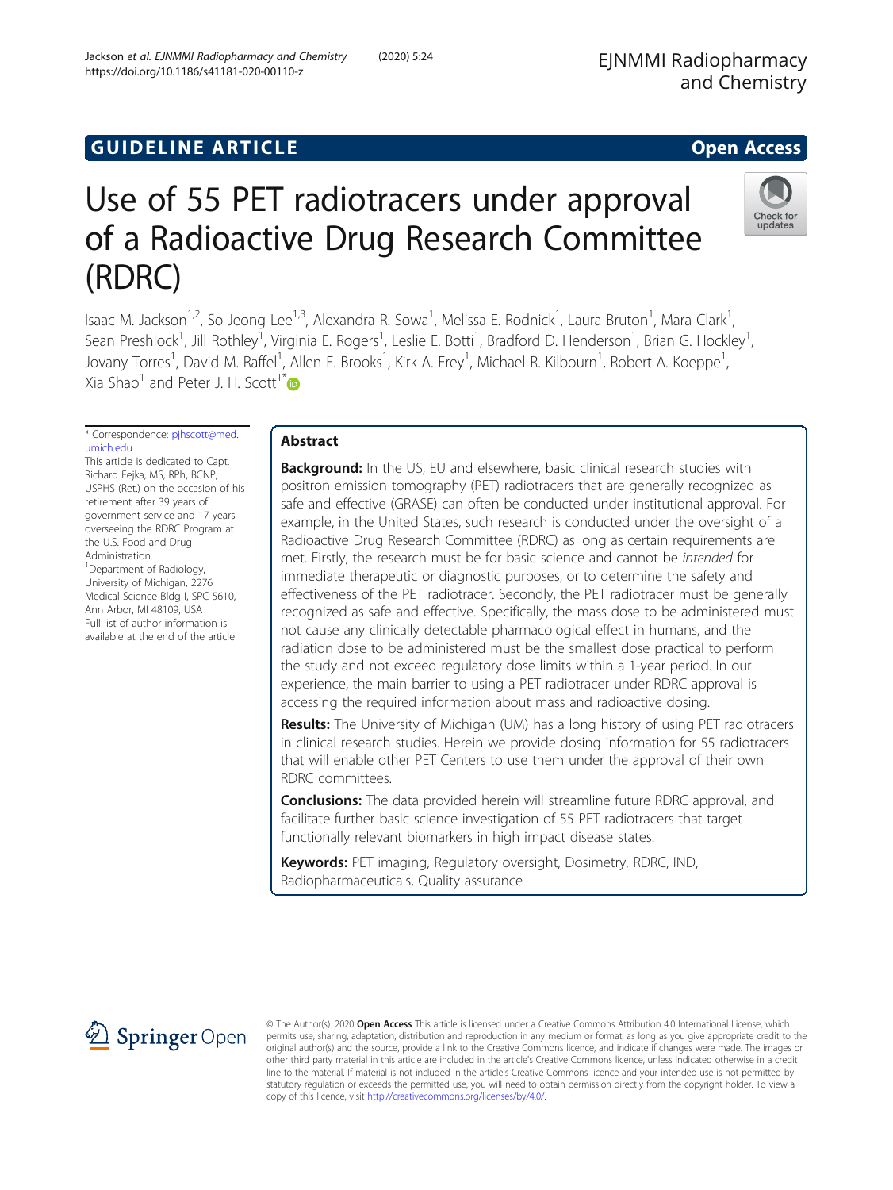## **GUIDELINE ARTICLE CONSUMING ARTICLE**

# Use of 55 PET radiotracers under approval of a Radioactive Drug Research Committee (RDRC)

Isaac M. Jackson<sup>1,2</sup>, So Jeong Lee<sup>1,3</sup>, Alexandra R. Sowa<sup>1</sup>, Melissa E. Rodnick<sup>1</sup>, Laura Bruton<sup>1</sup>, Mara Clark<sup>1</sup> , Sean Preshlock<sup>1</sup>, Jill Rothley<sup>1</sup>, Virginia E. Rogers<sup>1</sup>, Leslie E. Botti<sup>1</sup>, Bradford D. Henderson<sup>1</sup>, Brian G. Hockley<sup>1</sup> , Jovany Torres<sup>1</sup>, David M. Raffel<sup>1</sup>, Allen F. Brooks<sup>1</sup>, Kirk A. Frey<sup>1</sup>, Michael R. Kilbourn<sup>1</sup>, Robert A. Koeppe<sup>1</sup> , Xia Shao<sup>1</sup> and Peter J. H. Scott<sup>1[\\*](http://orcid.org/0000-0002-6505-0450)</sup>

\* Correspondence: [pjhscott@med.](mailto:pjhscott@med.umich.edu) [umich.edu](mailto:pjhscott@med.umich.edu) This article is dedicated to Capt.

Richard Fejka, MS, RPh, BCNP, USPHS (Ret.) on the occasion of his retirement after 39 years of government service and 17 years overseeing the RDRC Program at the U.S. Food and Drug Administration. <sup>1</sup>Department of Radiology, University of Michigan, 2276 Medical Science Bldg I, SPC 5610, Ann Arbor, MI 48109, USA Full list of author information is available at the end of the article

## Abstract

**Background:** In the US, EU and elsewhere, basic clinical research studies with positron emission tomography (PET) radiotracers that are generally recognized as safe and effective (GRASE) can often be conducted under institutional approval. For example, in the United States, such research is conducted under the oversight of a Radioactive Drug Research Committee (RDRC) as long as certain requirements are met. Firstly, the research must be for basic science and cannot be intended for immediate therapeutic or diagnostic purposes, or to determine the safety and effectiveness of the PET radiotracer. Secondly, the PET radiotracer must be generally recognized as safe and effective. Specifically, the mass dose to be administered must not cause any clinically detectable pharmacological effect in humans, and the radiation dose to be administered must be the smallest dose practical to perform the study and not exceed regulatory dose limits within a 1-year period. In our experience, the main barrier to using a PET radiotracer under RDRC approval is accessing the required information about mass and radioactive dosing.

Results: The University of Michigan (UM) has a long history of using PET radiotracers in clinical research studies. Herein we provide dosing information for 55 radiotracers that will enable other PET Centers to use them under the approval of their own RDRC committees.

**Conclusions:** The data provided herein will streamline future RDRC approval, and facilitate further basic science investigation of 55 PET radiotracers that target functionally relevant biomarkers in high impact disease states.

Keywords: PET imaging, Regulatory oversight, Dosimetry, RDRC, IND, Radiopharmaceuticals, Quality assurance

© The Author(s). 2020 Open Access This article is licensed under a Creative Commons Attribution 4.0 International License, which permits use, sharing, adaptation, distribution and reproduction in any medium or format, as long as you give appropriate credit to the original author(s) and the source, provide a link to the Creative Commons licence, and indicate if changes were made. The images or other third party material in this article are included in the article's Creative Commons licence, unless indicated otherwise in a credit line to the material. If material is not included in the article's Creative Commons licence and your intended use is not permitted by statutory regulation or exceeds the permitted use, you will need to obtain permission directly from the copyright holder. To view a copy of this licence, visit <http://creativecommons.org/licenses/by/4.0/>.



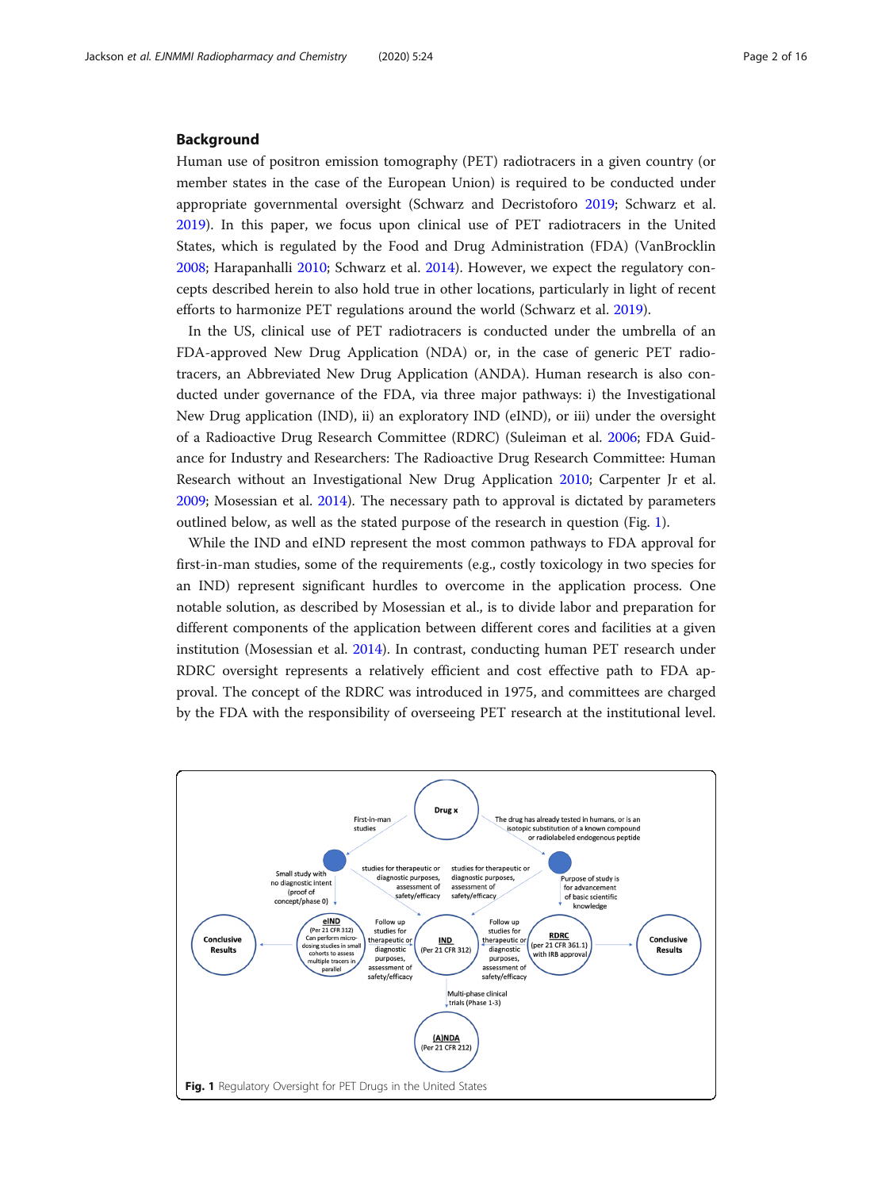#### Background

Human use of positron emission tomography (PET) radiotracers in a given country (or member states in the case of the European Union) is required to be conducted under appropriate governmental oversight (Schwarz and Decristoforo [2019](#page-14-0); Schwarz et al. [2019](#page-14-0)). In this paper, we focus upon clinical use of PET radiotracers in the United States, which is regulated by the Food and Drug Administration (FDA) (VanBrocklin [2008](#page-14-0); Harapanhalli [2010](#page-11-0); Schwarz et al. [2014\)](#page-14-0). However, we expect the regulatory concepts described herein to also hold true in other locations, particularly in light of recent efforts to harmonize PET regulations around the world (Schwarz et al. [2019](#page-14-0)).

In the US, clinical use of PET radiotracers is conducted under the umbrella of an FDA-approved New Drug Application (NDA) or, in the case of generic PET radiotracers, an Abbreviated New Drug Application (ANDA). Human research is also conducted under governance of the FDA, via three major pathways: i) the Investigational New Drug application (IND), ii) an exploratory IND (eIND), or iii) under the oversight of a Radioactive Drug Research Committee (RDRC) (Suleiman et al. [2006](#page-14-0); FDA Guidance for Industry and Researchers: The Radioactive Drug Research Committee: Human Research without an Investigational New Drug Application [2010](#page-11-0); Carpenter Jr et al. [2009](#page-11-0); Mosessian et al. [2014\)](#page-13-0). The necessary path to approval is dictated by parameters outlined below, as well as the stated purpose of the research in question (Fig. 1).

While the IND and eIND represent the most common pathways to FDA approval for first-in-man studies, some of the requirements (e.g., costly toxicology in two species for an IND) represent significant hurdles to overcome in the application process. One notable solution, as described by Mosessian et al., is to divide labor and preparation for different components of the application between different cores and facilities at a given institution (Mosessian et al. [2014\)](#page-13-0). In contrast, conducting human PET research under RDRC oversight represents a relatively efficient and cost effective path to FDA approval. The concept of the RDRC was introduced in 1975, and committees are charged by the FDA with the responsibility of overseeing PET research at the institutional level.

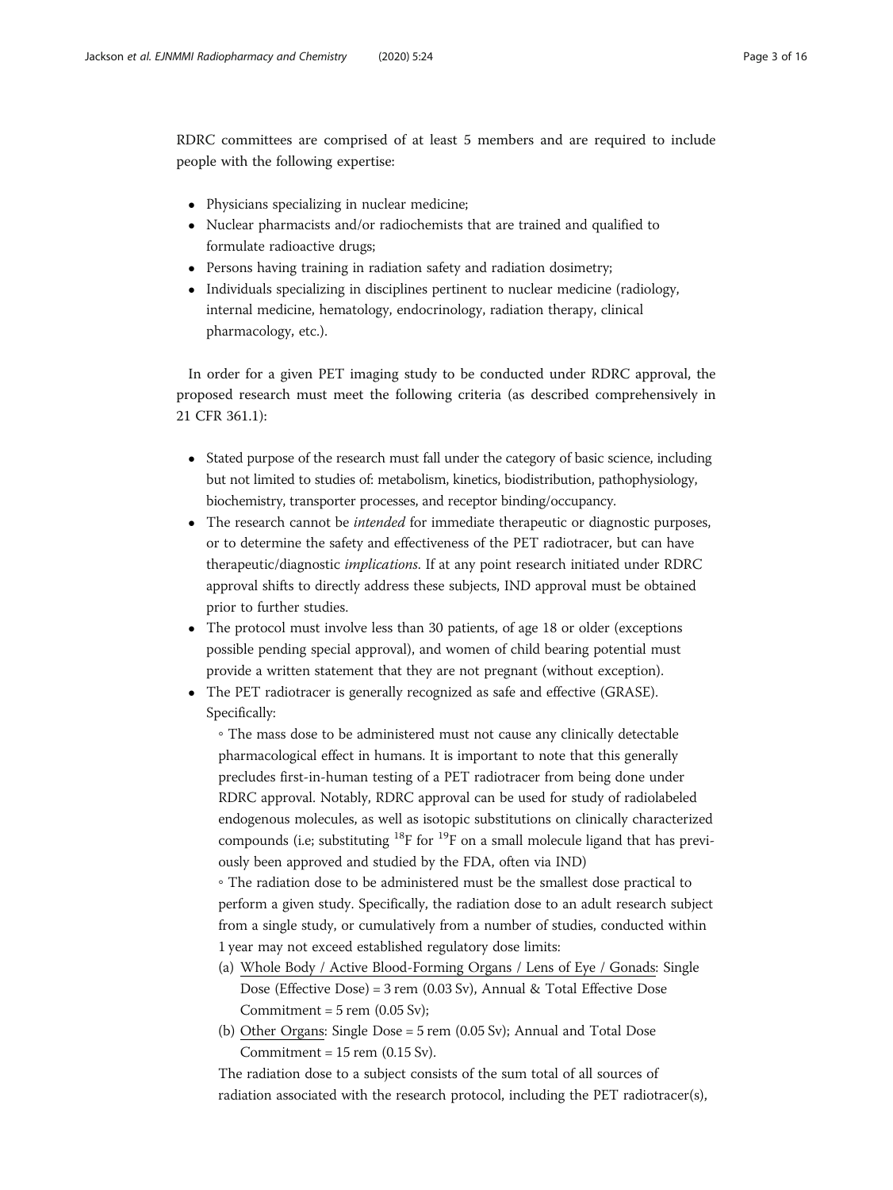RDRC committees are comprised of at least 5 members and are required to include people with the following expertise:

- Physicians specializing in nuclear medicine;
- Nuclear pharmacists and/or radiochemists that are trained and qualified to formulate radioactive drugs;
- Persons having training in radiation safety and radiation dosimetry;
- Individuals specializing in disciplines pertinent to nuclear medicine (radiology, internal medicine, hematology, endocrinology, radiation therapy, clinical pharmacology, etc.).

In order for a given PET imaging study to be conducted under RDRC approval, the proposed research must meet the following criteria (as described comprehensively in 21 CFR 361.1):

- Stated purpose of the research must fall under the category of basic science, including but not limited to studies of: metabolism, kinetics, biodistribution, pathophysiology, biochemistry, transporter processes, and receptor binding/occupancy.
- The research cannot be *intended* for immediate therapeutic or diagnostic purposes, or to determine the safety and effectiveness of the PET radiotracer, but can have therapeutic/diagnostic implications. If at any point research initiated under RDRC approval shifts to directly address these subjects, IND approval must be obtained prior to further studies.
- The protocol must involve less than 30 patients, of age 18 or older (exceptions possible pending special approval), and women of child bearing potential must provide a written statement that they are not pregnant (without exception).
- The PET radiotracer is generally recognized as safe and effective (GRASE). Specifically:

◦ The mass dose to be administered must not cause any clinically detectable pharmacological effect in humans. It is important to note that this generally precludes first-in-human testing of a PET radiotracer from being done under RDRC approval. Notably, RDRC approval can be used for study of radiolabeled endogenous molecules, as well as isotopic substitutions on clinically characterized compounds (i.e; substituting  ${}^{18}F$  for  ${}^{19}F$  on a small molecule ligand that has previously been approved and studied by the FDA, often via IND)

◦ The radiation dose to be administered must be the smallest dose practical to perform a given study. Specifically, the radiation dose to an adult research subject from a single study, or cumulatively from a number of studies, conducted within 1 year may not exceed established regulatory dose limits:

- (a) Whole Body / Active Blood-Forming Organs / Lens of Eye / Gonads: Single Dose (Effective Dose) = 3 rem (0.03 Sv), Annual & Total Effective Dose Commitment =  $5$  rem (0.05 Sv);
- (b) Other Organs: Single Dose = 5 rem (0.05 Sv); Annual and Total Dose Commitment =  $15$  rem (0.15 Sv).

The radiation dose to a subject consists of the sum total of all sources of radiation associated with the research protocol, including the PET radiotracer(s),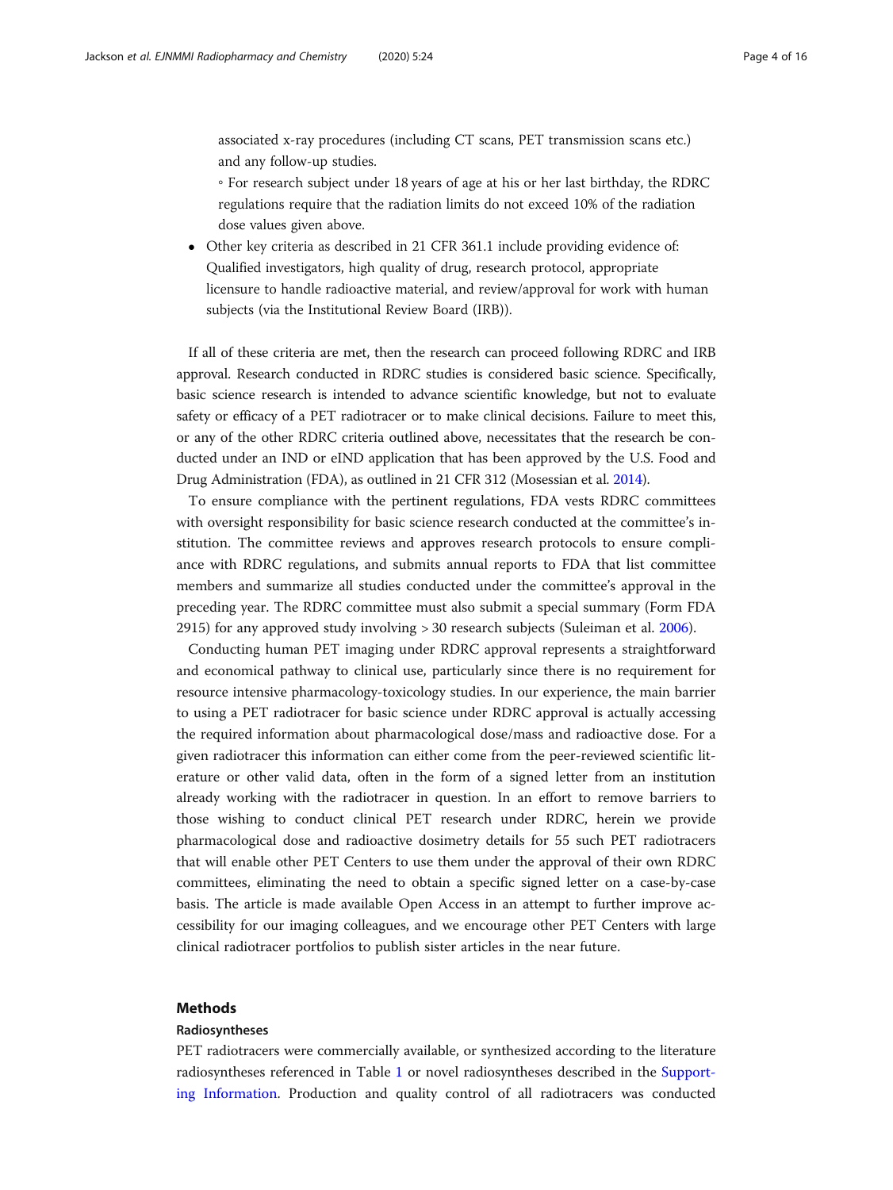associated x-ray procedures (including CT scans, PET transmission scans etc.) and any follow-up studies.

- For research subject under 18 years of age at his or her last birthday, the RDRC regulations require that the radiation limits do not exceed 10% of the radiation dose values given above.
- Other key criteria as described in 21 CFR 361.1 include providing evidence of: Qualified investigators, high quality of drug, research protocol, appropriate licensure to handle radioactive material, and review/approval for work with human subjects (via the Institutional Review Board (IRB)).

If all of these criteria are met, then the research can proceed following RDRC and IRB approval. Research conducted in RDRC studies is considered basic science. Specifically, basic science research is intended to advance scientific knowledge, but not to evaluate safety or efficacy of a PET radiotracer or to make clinical decisions. Failure to meet this, or any of the other RDRC criteria outlined above, necessitates that the research be conducted under an IND or eIND application that has been approved by the U.S. Food and Drug Administration (FDA), as outlined in 21 CFR 312 (Mosessian et al. [2014](#page-13-0)).

To ensure compliance with the pertinent regulations, FDA vests RDRC committees with oversight responsibility for basic science research conducted at the committee's institution. The committee reviews and approves research protocols to ensure compliance with RDRC regulations, and submits annual reports to FDA that list committee members and summarize all studies conducted under the committee's approval in the preceding year. The RDRC committee must also submit a special summary (Form FDA 2915) for any approved study involving > 30 research subjects (Suleiman et al. [2006](#page-14-0)).

Conducting human PET imaging under RDRC approval represents a straightforward and economical pathway to clinical use, particularly since there is no requirement for resource intensive pharmacology-toxicology studies. In our experience, the main barrier to using a PET radiotracer for basic science under RDRC approval is actually accessing the required information about pharmacological dose/mass and radioactive dose. For a given radiotracer this information can either come from the peer-reviewed scientific literature or other valid data, often in the form of a signed letter from an institution already working with the radiotracer in question. In an effort to remove barriers to those wishing to conduct clinical PET research under RDRC, herein we provide pharmacological dose and radioactive dosimetry details for 55 such PET radiotracers that will enable other PET Centers to use them under the approval of their own RDRC committees, eliminating the need to obtain a specific signed letter on a case-by-case basis. The article is made available Open Access in an attempt to further improve accessibility for our imaging colleagues, and we encourage other PET Centers with large clinical radiotracer portfolios to publish sister articles in the near future.

#### Methods

#### Radiosyntheses

PET radiotracers were commercially available, or synthesized according to the literature radiosyntheses referenced in Table [1](#page-4-0) or novel radiosyntheses described in the [Support](#page-9-0)[ing Information.](#page-9-0) Production and quality control of all radiotracers was conducted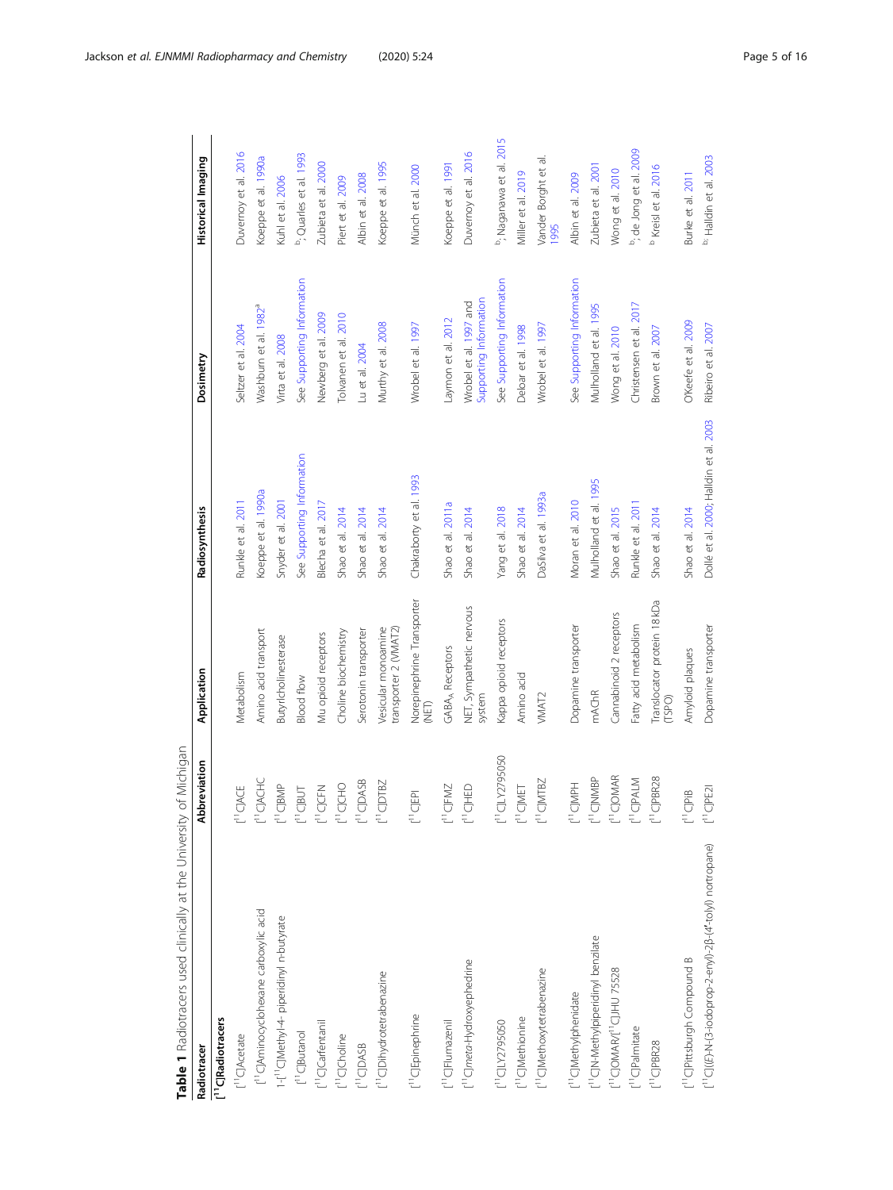<span id="page-4-0"></span>

| Table 1 Radiotracers used clinically at the University of Michigan     |                                                                                      |                                              |                                        |                                                  |                                     |
|------------------------------------------------------------------------|--------------------------------------------------------------------------------------|----------------------------------------------|----------------------------------------|--------------------------------------------------|-------------------------------------|
| Radiotracer                                                            | Abbreviation                                                                         | Application                                  | Radiosynthesis                         | Dosimetry                                        | Historical Imaging                  |
| [ <sup>1</sup> ]C]Radiotracers                                         |                                                                                      |                                              |                                        |                                                  |                                     |
| [ <sup>11</sup> C]Acetate                                              | $[1]C$ JACE                                                                          | Metabolism                                   | Runkle et al. 2011                     | Seltzer et al. 2004                              | Duvernoy et al. 2016                |
| [1] CJAminocyclohexane carboxylic acid                                 | $\begin{array}{c} \Gamma^1 \text{C} \text{A} \text{C} \text{H} \text{C} \end{array}$ | Amino acid transport                         | Koeppe et al. 1990a                    | Washburn et al. 1982 <sup>ª</sup>                | Koeppe et al. 1990a                 |
| 1-[1] C[Methyl-4-piperidinyl n-butyrate                                | $[11]$ CJBMP                                                                         | Butyrlcholinesterase                         | Snyder et al. 2001                     | Virta et al. 2008                                | Kuhl et al. 2006                    |
| [ <sup>11</sup> C]Butanol                                              | $[1]$ CJBUT                                                                          | Blood flow                                   | See Supporting Information             | See Supporting Information                       | <sup>b</sup> ; Quarles et al. 1993  |
| [ <sup>11</sup> C]Carfentanil                                          | $[11]$ CJCFN                                                                         | Mu opioid receptors                          | Blecha et al. 2017                     | Newberg et al. 2009                              | Zubieta et al. 2000                 |
| <sup>11</sup> ClCholine                                                | $[11]$ CJCHO                                                                         | Choline biochemistry                         | Shao et al. 2014                       | Tolvanen et al. 2010                             | Piert et al. 2009                   |
| <sup>11</sup> CIDASB                                                   | $[11]$ CJDASB                                                                        | Serotonin transporter                        | Shao et al. 2014                       | Lu et al. 2004                                   | Albin et al. 2008                   |
| [ <sup>11</sup> C]Dihydrotetrabenazine                                 | $[1]$ CJDTBZ                                                                         | Vesicular monoamine<br>transporter 2 (VMAT2) | Shao et al. 2014                       | Murthy et al. 2008                               | Koeppe et al. 1995                  |
| [ <sup>11</sup> C]Epinephrine                                          | $[11]$ CJEPI                                                                         | Norepinephrine Transporter<br>巨乙             | Chakraborty et al. 1993                | Wrobel et al. 1997                               | Münch et al. 2000                   |
| [ <sup>11</sup> C]Flumazenil                                           | $[11]$ CJFMZ                                                                         | GABA <sub>A</sub> Receptors                  | Shao et al. 2011a                      | Laymon et al. 2012                               | Koeppe et al. 1991                  |
| [ <sup>11</sup> C]meta-Hydroxyephedrine                                | $[11]$ CJHED                                                                         | NET, Sympathetic nervous<br>system           | Shao et al. 2014                       | Supporting Information<br>Wrobel et al. 1997 and | Duvernoy et al. 2016                |
| [ <sup>11</sup> C]LY2795050                                            | $\begin{bmatrix} 1 \\ 1 \end{bmatrix}$ CJLY2795050                                   | Kappa opioid receptors                       | Yang et al. 2018                       | See Supporting Information                       | <sup>b</sup> ; Naganawa et al. 2015 |
| [ <sup>11</sup> C]Methionine                                           | $[11]$ CJMET                                                                         | Amino acid                                   | Shao et al. 2014                       | Deloar et al. 1998                               | Miller et al. 2019                  |
| [ <sup>11</sup> C]Methoxytetrabenazine                                 | $[1]$ <sup>1</sup> CJMTBZ                                                            | VMAT <sub>2</sub>                            | DaSilva et al. 1993a                   | Wrobel et al. 1997                               | Vander Borght et al<br>1995         |
| [ <sup>11</sup> C]Methylphenidate                                      | L <sub>1</sub> ClNbH                                                                 | Dopamine transporter                         | Moran et al. 2010                      | See Supporting Information                       | Albin et al. 2009                   |
| [1]C[N-Methylpiperidinyl benzilate                                     | $[1]$ CJNMBP                                                                         | <b>mAChR</b>                                 | Mulholland et al. 1995                 | Mulholland et al. 1995                           | Zubieta et al. 2001                 |
| [ <sup>11</sup> C]OMAR/[ <sup>11</sup> C]JHU 75528                     | $[11]$ CJOMAR                                                                        | Cannabinoid 2 receptors                      | Shao et al. 2015                       | Wong et al. 2010                                 | Wong et al. 2010                    |
| [ <sup>11</sup> C]Palmitate                                            | $[11C]$ PALM                                                                         | Fatty acid metabolism                        | Runkle et al. 2011                     | Christensen et al. 2017                          | <sup>b</sup> ; de Jong et al. 2009  |
| $[1]$ <sup><math>\Box</math></sup> PBR28                               | $[1]$ <sup><math>C</math></sup> JPBR28                                               | Translocator protein 18 kDa<br>(TSPO)        | Shao et al. 2014                       | Brown et al. 2007                                | <sup>b</sup> Kreisl et al. 2016     |
| [ <sup>11</sup> C]Pittsburgh Compound B                                | $[11]$ CJPiB                                                                         | Amyloid plaques                              | Shao et al. 2014                       | O'Keefe et al. 2009                              | Burke et al. 2011                   |
| [ <sup>11</sup> C]((E)-N-(3-iodoprop-2-enyl)-2β-(4'-tolyl) nortropane) | $[11]$ CJPE21                                                                        | Dopamine transporter                         | Dollé et al. 2000; Halldin et al. 2003 | Ribeiro et al. 2007                              | <sup>b;</sup> Halldin et al. 2003   |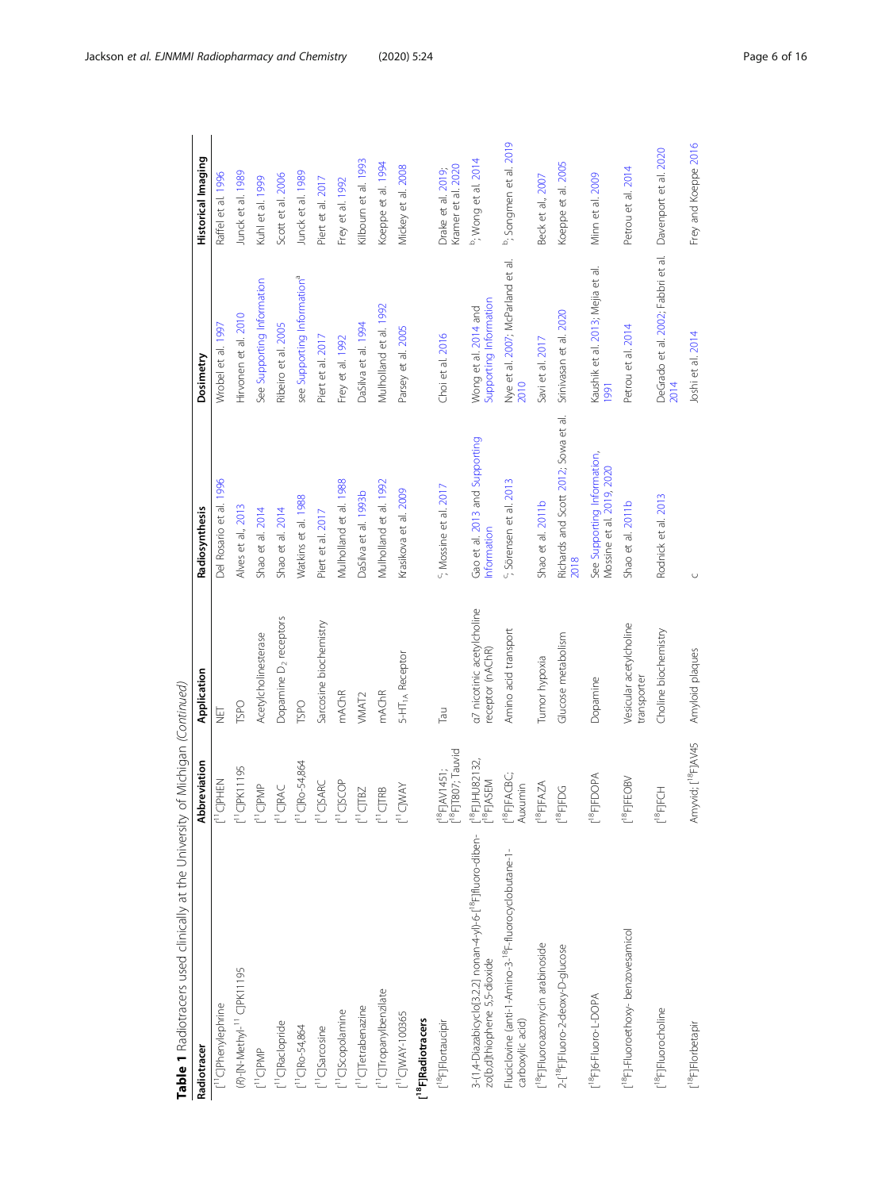| Table 1 Radiotracers used clinically at the University of Michigan (Continued)                           |                                                                                                            |                                                |                                                          |                                                |                                          |
|----------------------------------------------------------------------------------------------------------|------------------------------------------------------------------------------------------------------------|------------------------------------------------|----------------------------------------------------------|------------------------------------------------|------------------------------------------|
| Radiotracer                                                                                              | Abbreviation                                                                                               | Application                                    | Radiosynthesis                                           | Dosimetry                                      | Historical Imaging                       |
| [ <sup>11</sup> C]Phenylephrine                                                                          | [ <sup>11</sup> C]PHEN                                                                                     | U<br>2                                         | Del Rosario et al. 1996                                  | Wrobel et al. 1997                             | Raffel et al. 1996                       |
| (R)-[N-Methyl- <sup>11</sup> C]PK11195                                                                   | $\lbrack$                                                                                                  | <b>TSPO</b>                                    | Alves et al., 2013                                       | Hirvonen et al. 2010                           | Junck et al. 1989                        |
| [ <sup>11</sup> C]PMP                                                                                    | $[1^1C]PMP$                                                                                                | Acetylcholinesterase                           | Shao et al. 2014                                         | See Supporting Information                     | Kuhl et al. 1999                         |
| [ <sup>11</sup> C]Raclopride                                                                             | $[1]$ CJRAC                                                                                                | Dopamine D <sub>2</sub> receptors              | Shao et al. 2014                                         | Ribeiro et al. 2005                            | Scott et al. 2006                        |
| $[11]$ CJRo-54,864                                                                                       | $[1^1C]$ Ro-54,864                                                                                         | <b>LSPO</b>                                    | Watkins et al. 1988                                      | see Supporting Information <sup>a</sup>        | Junck et al. 1989                        |
| [ <sup>11</sup> C]Sarcosine                                                                              | [11C]SARC                                                                                                  | Sarcosine biochemistry                         | Piert et al. 2017                                        | Piert et al. 2017                              | Piert et al. 2017                        |
| [ <sup>11</sup> C]Scopolamine                                                                            | [11C]SCOP                                                                                                  | <b>mAChR</b>                                   | Mulholland et al. 1988                                   | Frey et al. 1992                               | Frey et al. 1992                         |
| [ <sup>11</sup> C]Tetrabenazine                                                                          | $[1]$ CJTBZ                                                                                                | VMAT <sub>2</sub>                              | DaSilva et al. 1993b                                     | DaSilva et al. 1994                            | Kilbourn et al. 1993                     |
| [ <sup>11</sup> C]Tropanylbenzilate                                                                      | $[1]$ CJTRB                                                                                                | <b>mAChR</b>                                   | Mulholland et al. 1992                                   | Mulholland et al. 1992                         | Koeppe et al. 1994                       |
| $\begin{bmatrix} 1 & 1 \\ 1 & 1 \end{bmatrix}$ UNAY-100365                                               | $[11C]$ WAY                                                                                                | 5-HT <sub>1A</sub> Receptor                    | Krasikova et al. 2009                                    | Parsey et al. 2005                             | Mickey et al. 2008                       |
| [ <sup>18</sup> F]Radiotracers                                                                           |                                                                                                            |                                                |                                                          |                                                |                                          |
| [ <sup>18</sup> F]Flortaucipir                                                                           | [ <sup>18</sup> F]T807; Tauvid<br>$\lbrack \begin{smallmatrix} 18 \\ -1 \end{smallmatrix} \rbrack$ AV1451; | Tau                                            | <sup>c</sup> ; Mossine et al. 2017                       | Choi et al. 2016                               | Kramer et al. 2020<br>Drake et al. 2019; |
| 3-(1,4-Diazabicyclo[3.2.2] nonan-4-yl)-6-[ <sup>18</sup> F]fluoro-diben-<br>zo[b,d]thiophene 5,5-dioxide | $\frac{1}{2}$ <sup>18</sup> F]JHU82132,<br>$\frac{1}{2}$ <sup>18</sup> F]ASEM                              | a7 nicotinic acetylcholine<br>receptor (nAChR) | Gao et al. 2013 and Supporting<br>Information            | Wong et al. 2014 and<br>Supporting Information | <sup>b</sup> ; Wong et al. 2014          |
| Fluciclovine (anti-1-Amino-3- <sup>18</sup> F-fluorocyclobutane-1-<br>carboxylic acid)                   | $[$ <sup>18</sup> FJFACBC;<br>Auxumin                                                                      | Amino acid transport                           | <sup>c</sup> ; Sörensen et al. 2013                      | Nye et al. 2007; McParland et al.<br>2010      | <sup>b</sup> ; Songmen et al. 2019       |
| [ <sup>18</sup> F]Fluoroazomycin arabinoside                                                             | $[$ <sup>18</sup> F]FAZA                                                                                   | Tumor hypoxia                                  | Shao et al. 2011b                                        | Savi et al. 2017                               | Beck et al., 2007                        |
| 2-[ <sup>18</sup> F]Fluoro-2-deoxy-D-glucose                                                             | $[$ <sup>18</sup> FJFDG                                                                                    | Glucose metabolism                             | Richards and Scott 2012; Sowa et al.<br>2018             | Srinivasan et al. 2020                         | Koeppe et al. 2005                       |
| L <sup>18</sup> F]6-Fluoro-L-DOPA                                                                        | $[18]$ FJFDOPA                                                                                             | Dopamine                                       | See Supporting Information,<br>Mossine et al. 2019, 2020 | Kaushik et al. 2013; Mejia et al.<br>1991      | Minn et al. 2009                         |
| [ <sup>18</sup> F]-Fluoroethoxy-benzovesamicol                                                           | $\mathsf{I}^{18}$ FJFEOBV                                                                                  | Vesicular acetylcholine<br>transporter         | Shao et al. 2011b                                        | Petrou et al. 2014                             | Petrou et al. 2014                       |
| [ <sup>18</sup> F]Fluorocholine                                                                          | ECH<br>$\mathsf{L}^{\text{18}}\mathsf{F}$                                                                  | Choline biochemistry                           | Rodnick et al. 2013                                      | DeGrado et al. 2002; Fabbri et al.<br>2014     | Davenport et al. 2020                    |
| [ <sup>18</sup> F]Florbetapir                                                                            | Amyvid; [ <sup>18</sup> F]AV45                                                                             | Amyloid plaques                                | $\cup$                                                   | Joshi et al. 2014                              | Frey and Koeppe 2016                     |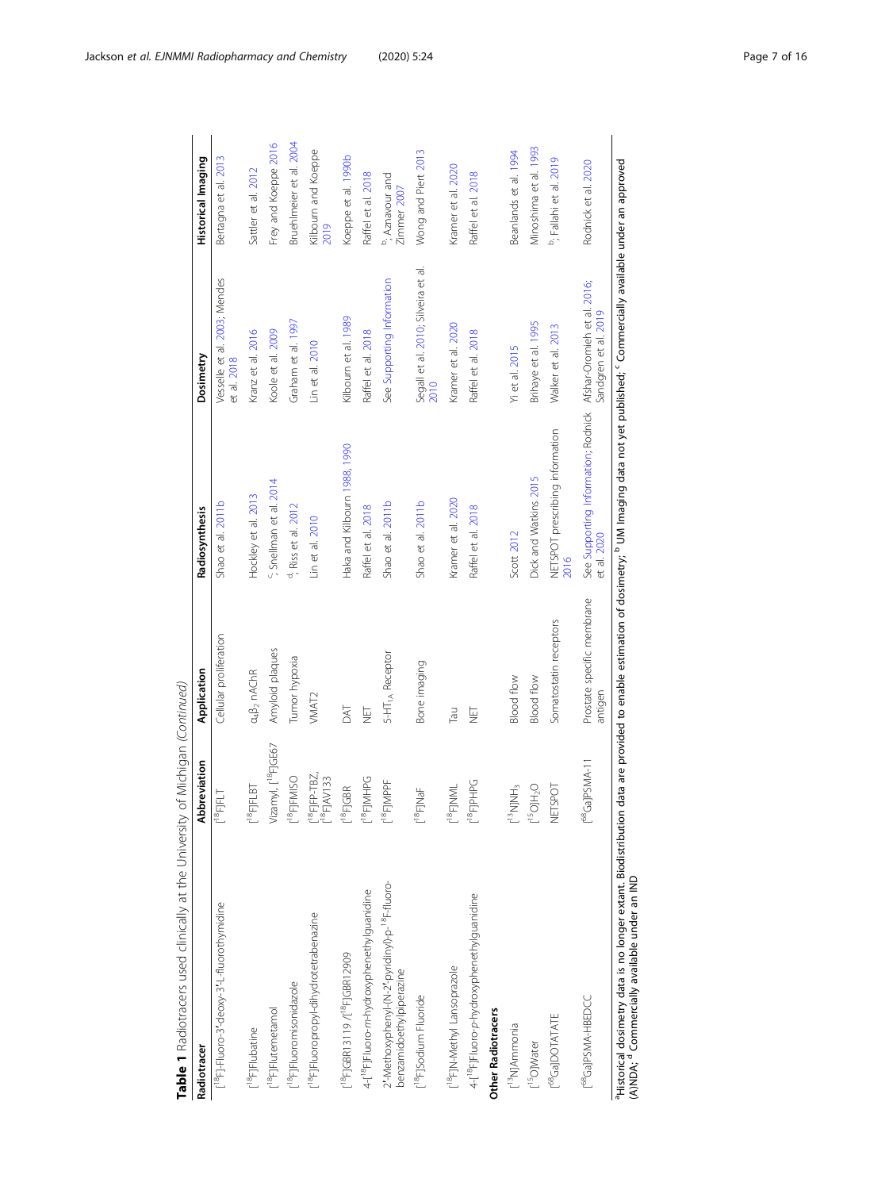| See Supporting Information<br>Vesselle et al. 2003; Mendes<br>See Supporting Information; Rodnick Afshar-Oromieh et al. 2016;<br>Kilbourn et al. 1989<br>Graham et al. 1997<br>Brihaye et al. 1995<br>Kramer et al. 2020<br>Walker et al. 2013<br>Raffel et al. 2018<br>Kranz et al. 2016<br>Koole et al. 2009<br>Raffel et al. 2018<br>Lin et al. 2010<br>Yi et al. 2015<br>et al. 2018<br>2010<br>NETSPOT prescribing information<br>Haka and Kilbourn 1988, 1990<br>Dick and Watkins 2015<br><sup>c</sup> ; Snellman et al. 2014<br>Hockley et al. 2013<br>Kramer et al. 2020<br>Shao et al. 2011b<br>Shao et al. 2011b<br>Shao et al. 2011b<br><sup>d</sup> ; Riss et al. 2012<br>Raffel et al. 2018<br>Raffel et al. 2018<br>Lin et al. 2010<br>Scott 2012<br>2016<br>Prostate specific membrane<br>Somatostatin receptors<br>Cellular proliferation<br>Amyloid plaques<br>5-HT <sub>1A</sub> Receptor<br>Tumor hypoxia<br>Bone imaging<br>$a_4\beta_2$ nAChR<br>Blood flow<br><b>Blood flow</b><br>VMAT <sub>2</sub><br>DAT<br>L<br>2<br>Tau<br>1<br>기<br>Vizamyl, [ <sup>18</sup> F]GE67<br>[ <sup>68</sup> Ga]PSMA-11<br>$[^{18}$ FJFP-TBZ,<br>$[^{18}$ FJAV133<br>$[18F]$ FMISO<br>$[18F]$ MHPG<br>L <sup>18</sup> FJPHPG<br>$[$ <sup>18</sup> F]MPPF<br>NETSPOT<br>$[13$ NJNH <sub>3</sub><br>$\mathsf{C}^2\mathsf{CH}[\mathsf{O}_\mathsf{S1}]$<br>$[$ <sup>18</sup> F]FLBT<br>$[18F]$ NML<br>$[$ <sup>18</sup> FJGBR<br>$[$ <sup>18</sup> FJNaF<br>$[$ <sup>18</sup> FJFLT<br>2'-Methoxyphenyl-(N-2'-pyridinyl)-p- <sup>18</sup> F-fluoro-<br>4-[ <sup>18</sup> F]Fluoro-m-hydroxyphenethylguanidine<br>4-[ <sup>18</sup> F]Fluoro-p-hydroxyphenethylguanidine<br>[ <sup>18</sup> F]-Fluoro-3'-deoxy-3'-L-fluorothymidine<br>[ <sup>18</sup> F]Fluoropropyl-dihydrotetrabenazine<br>[ <sup>18</sup> F]GBR13119 /[ <sup>18</sup> F]GBR12909<br>[ <sup>18</sup> F]N-Methyl Lansoprazole<br>benzamidoethylpiperazine<br>[ <sup>18</sup> F]Fluoromisonidazole<br>[ <sup>18</sup> F]Sodium Fluoride<br>[ <sup>68</sup> Ga]PSMA-HBEDCC<br>[ <sup>18</sup> F]Flutemetamol<br><b>Other Radiotracers</b><br>[ <sup>68</sup> Ga]DOTATATE<br>[ <sup>13</sup> N]Ammonia<br>[ <sup>18</sup> F]Flubatine<br>[ <sup>15</sup> O]Water | Abbreviation | Application | Radiosynthesis | Dosimetry                           | <b>Historical Imaging</b>          |
|----------------------------------------------------------------------------------------------------------------------------------------------------------------------------------------------------------------------------------------------------------------------------------------------------------------------------------------------------------------------------------------------------------------------------------------------------------------------------------------------------------------------------------------------------------------------------------------------------------------------------------------------------------------------------------------------------------------------------------------------------------------------------------------------------------------------------------------------------------------------------------------------------------------------------------------------------------------------------------------------------------------------------------------------------------------------------------------------------------------------------------------------------------------------------------------------------------------------------------------------------------------------------------------------------------------------------------------------------------------------------------------------------------------------------------------------------------------------------------------------------------------------------------------------------------------------------------------------------------------------------------------------------------------------------------------------------------------------------------------------------------------------------------------------------------------------------------------------------------------------------------------------------------------------------------------------------------------------------------------------------------------------------------------------------------------------------------------------------------------------------------------------------------------------------------------------------------------------------------|--------------|-------------|----------------|-------------------------------------|------------------------------------|
|                                                                                                                                                                                                                                                                                                                                                                                                                                                                                                                                                                                                                                                                                                                                                                                                                                                                                                                                                                                                                                                                                                                                                                                                                                                                                                                                                                                                                                                                                                                                                                                                                                                                                                                                                                                                                                                                                                                                                                                                                                                                                                                                                                                                                                  |              |             |                |                                     | Bertagna et al. 2013               |
|                                                                                                                                                                                                                                                                                                                                                                                                                                                                                                                                                                                                                                                                                                                                                                                                                                                                                                                                                                                                                                                                                                                                                                                                                                                                                                                                                                                                                                                                                                                                                                                                                                                                                                                                                                                                                                                                                                                                                                                                                                                                                                                                                                                                                                  |              |             |                |                                     | Sattler et al. 2012                |
|                                                                                                                                                                                                                                                                                                                                                                                                                                                                                                                                                                                                                                                                                                                                                                                                                                                                                                                                                                                                                                                                                                                                                                                                                                                                                                                                                                                                                                                                                                                                                                                                                                                                                                                                                                                                                                                                                                                                                                                                                                                                                                                                                                                                                                  |              |             |                |                                     | Frey and Koeppe 2016               |
|                                                                                                                                                                                                                                                                                                                                                                                                                                                                                                                                                                                                                                                                                                                                                                                                                                                                                                                                                                                                                                                                                                                                                                                                                                                                                                                                                                                                                                                                                                                                                                                                                                                                                                                                                                                                                                                                                                                                                                                                                                                                                                                                                                                                                                  |              |             |                |                                     | Bruehlmeier et al. 2004            |
|                                                                                                                                                                                                                                                                                                                                                                                                                                                                                                                                                                                                                                                                                                                                                                                                                                                                                                                                                                                                                                                                                                                                                                                                                                                                                                                                                                                                                                                                                                                                                                                                                                                                                                                                                                                                                                                                                                                                                                                                                                                                                                                                                                                                                                  |              |             |                |                                     | Kilbourn and Koeppe<br>2019        |
|                                                                                                                                                                                                                                                                                                                                                                                                                                                                                                                                                                                                                                                                                                                                                                                                                                                                                                                                                                                                                                                                                                                                                                                                                                                                                                                                                                                                                                                                                                                                                                                                                                                                                                                                                                                                                                                                                                                                                                                                                                                                                                                                                                                                                                  |              |             |                |                                     | Koeppe et al. 1990b                |
|                                                                                                                                                                                                                                                                                                                                                                                                                                                                                                                                                                                                                                                                                                                                                                                                                                                                                                                                                                                                                                                                                                                                                                                                                                                                                                                                                                                                                                                                                                                                                                                                                                                                                                                                                                                                                                                                                                                                                                                                                                                                                                                                                                                                                                  |              |             |                |                                     | Raffel et al. 2018                 |
|                                                                                                                                                                                                                                                                                                                                                                                                                                                                                                                                                                                                                                                                                                                                                                                                                                                                                                                                                                                                                                                                                                                                                                                                                                                                                                                                                                                                                                                                                                                                                                                                                                                                                                                                                                                                                                                                                                                                                                                                                                                                                                                                                                                                                                  |              |             |                |                                     | b; Aznavour and<br>Zimmer 2007     |
|                                                                                                                                                                                                                                                                                                                                                                                                                                                                                                                                                                                                                                                                                                                                                                                                                                                                                                                                                                                                                                                                                                                                                                                                                                                                                                                                                                                                                                                                                                                                                                                                                                                                                                                                                                                                                                                                                                                                                                                                                                                                                                                                                                                                                                  |              |             |                | Segall et al. 2010; Silveira et al. | Wong and Piert 2013                |
|                                                                                                                                                                                                                                                                                                                                                                                                                                                                                                                                                                                                                                                                                                                                                                                                                                                                                                                                                                                                                                                                                                                                                                                                                                                                                                                                                                                                                                                                                                                                                                                                                                                                                                                                                                                                                                                                                                                                                                                                                                                                                                                                                                                                                                  |              |             |                |                                     | Kramer et al. 2020                 |
|                                                                                                                                                                                                                                                                                                                                                                                                                                                                                                                                                                                                                                                                                                                                                                                                                                                                                                                                                                                                                                                                                                                                                                                                                                                                                                                                                                                                                                                                                                                                                                                                                                                                                                                                                                                                                                                                                                                                                                                                                                                                                                                                                                                                                                  |              |             |                |                                     | Raffel et al. 2018                 |
|                                                                                                                                                                                                                                                                                                                                                                                                                                                                                                                                                                                                                                                                                                                                                                                                                                                                                                                                                                                                                                                                                                                                                                                                                                                                                                                                                                                                                                                                                                                                                                                                                                                                                                                                                                                                                                                                                                                                                                                                                                                                                                                                                                                                                                  |              |             |                |                                     |                                    |
|                                                                                                                                                                                                                                                                                                                                                                                                                                                                                                                                                                                                                                                                                                                                                                                                                                                                                                                                                                                                                                                                                                                                                                                                                                                                                                                                                                                                                                                                                                                                                                                                                                                                                                                                                                                                                                                                                                                                                                                                                                                                                                                                                                                                                                  |              |             |                |                                     | Beanlands et al. 1994              |
|                                                                                                                                                                                                                                                                                                                                                                                                                                                                                                                                                                                                                                                                                                                                                                                                                                                                                                                                                                                                                                                                                                                                                                                                                                                                                                                                                                                                                                                                                                                                                                                                                                                                                                                                                                                                                                                                                                                                                                                                                                                                                                                                                                                                                                  |              |             |                |                                     | Minoshima et al. 1993              |
|                                                                                                                                                                                                                                                                                                                                                                                                                                                                                                                                                                                                                                                                                                                                                                                                                                                                                                                                                                                                                                                                                                                                                                                                                                                                                                                                                                                                                                                                                                                                                                                                                                                                                                                                                                                                                                                                                                                                                                                                                                                                                                                                                                                                                                  |              |             |                |                                     | <sup>b</sup> ; Fallahi et al. 2019 |
| antigen                                                                                                                                                                                                                                                                                                                                                                                                                                                                                                                                                                                                                                                                                                                                                                                                                                                                                                                                                                                                                                                                                                                                                                                                                                                                                                                                                                                                                                                                                                                                                                                                                                                                                                                                                                                                                                                                                                                                                                                                                                                                                                                                                                                                                          |              |             | et al. 2020    | Sandgren et al. 2019                | Rodnick et al. 2020                |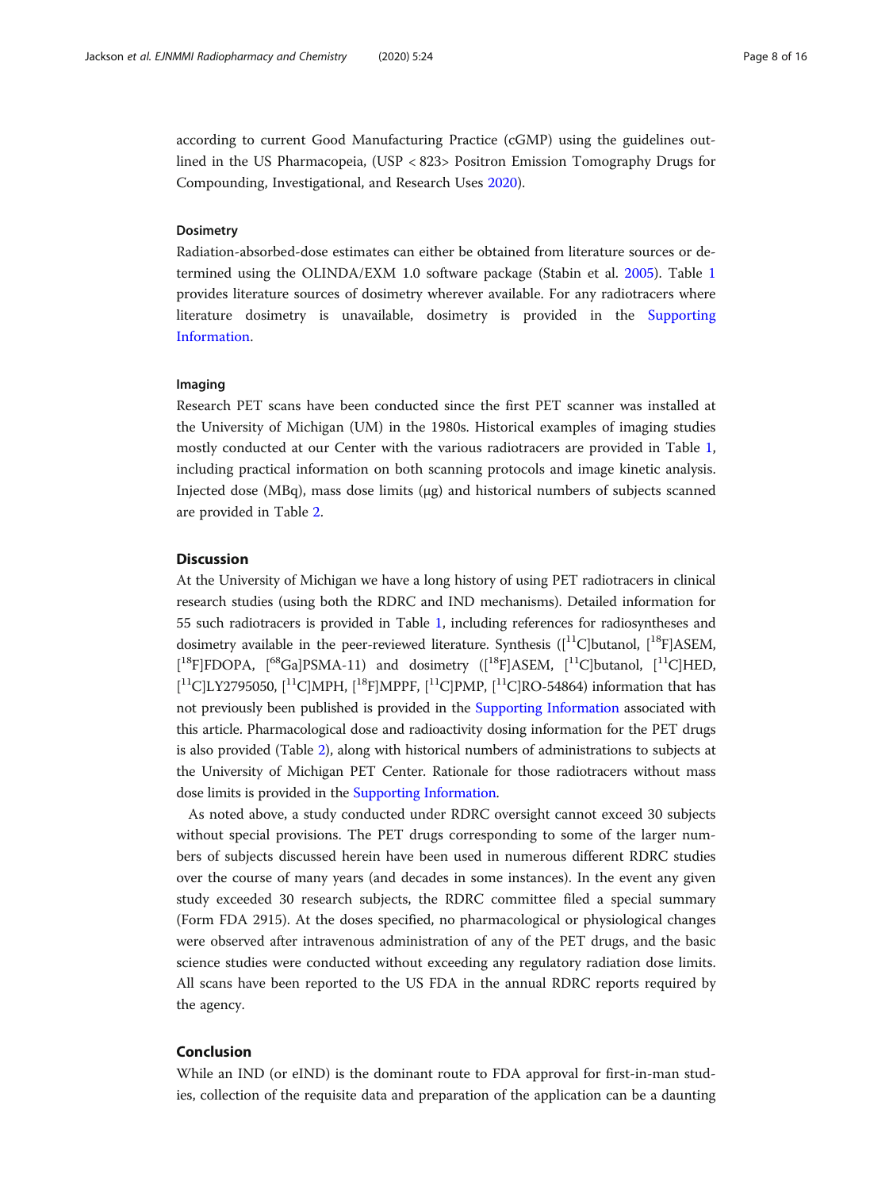according to current Good Manufacturing Practice (cGMP) using the guidelines outlined in the US Pharmacopeia, (USP < 823> Positron Emission Tomography Drugs for Compounding, Investigational, and Research Uses [2020](#page-14-0)).

#### Dosimetry

Radiation-absorbed-dose estimates can either be obtained from literature sources or determined using the OLINDA/EXM 1.0 software package (Stabin et al. [2005](#page-14-0)). Table [1](#page-4-0) provides literature sources of dosimetry wherever available. For any radiotracers where literature dosimetry is unavailable, dosimetry is provided in the [Supporting](#page-9-0) [Information.](#page-9-0)

#### Imaging

Research PET scans have been conducted since the first PET scanner was installed at the University of Michigan (UM) in the 1980s. Historical examples of imaging studies mostly conducted at our Center with the various radiotracers are provided in Table [1](#page-4-0), including practical information on both scanning protocols and image kinetic analysis. Injected dose (MBq), mass dose limits (μg) and historical numbers of subjects scanned are provided in Table [2.](#page-8-0)

#### **Discussion**

At the University of Michigan we have a long history of using PET radiotracers in clinical research studies (using both the RDRC and IND mechanisms). Detailed information for 55 such radiotracers is provided in Table [1](#page-4-0), including references for radiosyntheses and dosimetry available in the peer-reviewed literature. Synthesis  $(11)$ C butanol,  $[18]$ F ASEM, [<sup>18</sup>F]FDOPA, [<sup>68</sup>Ga]PSMA-11) and dosimetry ([<sup>18</sup>F]ASEM, [<sup>11</sup>C]butanol, [<sup>11</sup>C]HED,  $[{}^{11}C]LY2795050, [{}^{11}C]MPH, [{}^{18}F]MPPF, [{}^{11}C]PMP, [{}^{11}C]RO-54864)$  information that has not previously been published is provided in the [Supporting Information](#page-9-0) associated with this article. Pharmacological dose and radioactivity dosing information for the PET drugs is also provided (Table [2](#page-8-0)), along with historical numbers of administrations to subjects at the University of Michigan PET Center. Rationale for those radiotracers without mass dose limits is provided in the [Supporting Information](#page-9-0).

As noted above, a study conducted under RDRC oversight cannot exceed 30 subjects without special provisions. The PET drugs corresponding to some of the larger numbers of subjects discussed herein have been used in numerous different RDRC studies over the course of many years (and decades in some instances). In the event any given study exceeded 30 research subjects, the RDRC committee filed a special summary (Form FDA 2915). At the doses specified, no pharmacological or physiological changes were observed after intravenous administration of any of the PET drugs, and the basic science studies were conducted without exceeding any regulatory radiation dose limits. All scans have been reported to the US FDA in the annual RDRC reports required by the agency.

### Conclusion

While an IND (or eIND) is the dominant route to FDA approval for first-in-man studies, collection of the requisite data and preparation of the application can be a daunting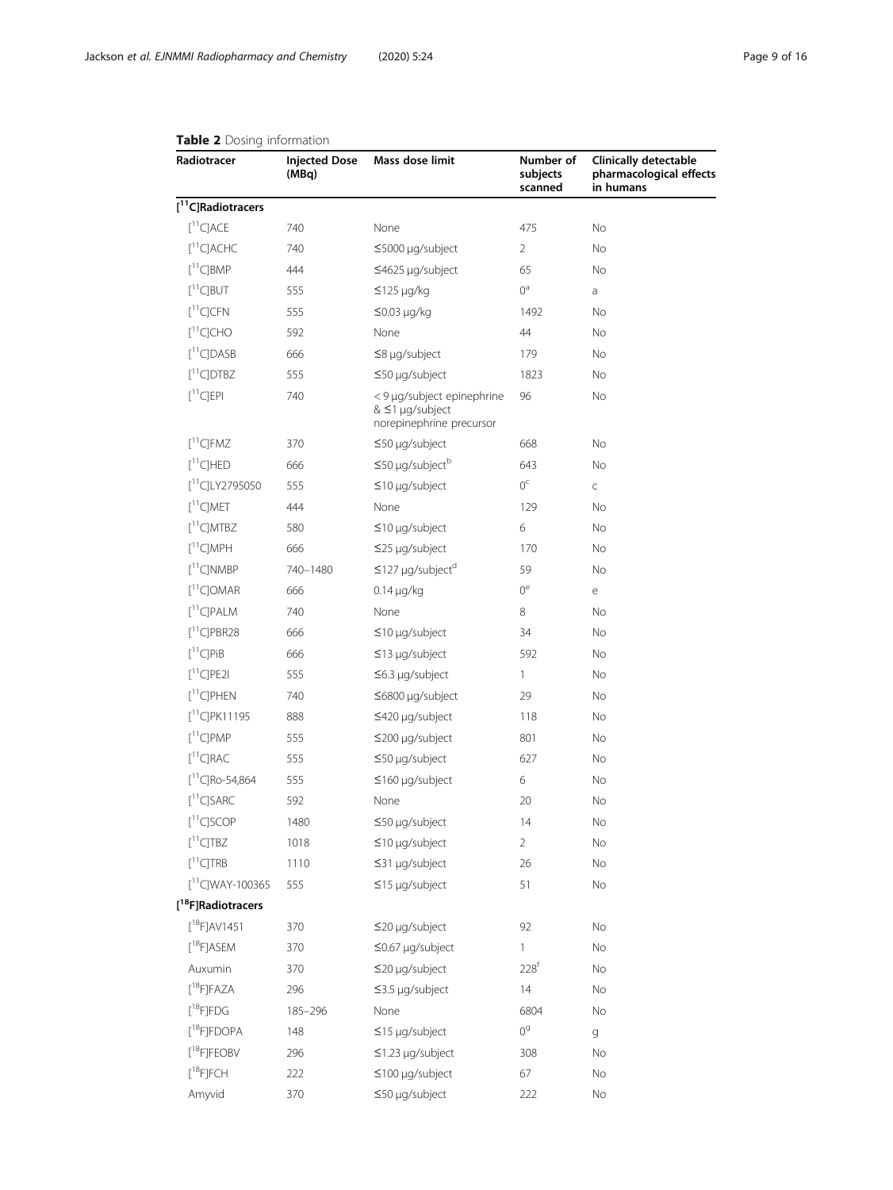| Radiotracer                      | <b>Injected Dose</b><br>(MBq) | Mass dose limit                                                                   | Number of<br>subjects<br>scanned | <b>Clinically detectable</b><br>pharmacological effects<br>in humans |
|----------------------------------|-------------------------------|-----------------------------------------------------------------------------------|----------------------------------|----------------------------------------------------------------------|
| $[$ <sup>11</sup> C]Radiotracers |                               |                                                                                   |                                  |                                                                      |
| $[$ <sup>11</sup> C]ACE          | 740                           | None                                                                              | 475                              | No                                                                   |
| $[^{11}C]$ ACHC                  | 740                           | ≤5000 µg/subject                                                                  | 2                                | No                                                                   |
| $[$ <sup>11</sup> C]BMP          | 444                           | ≤4625 µg/subject                                                                  | 65                               | No                                                                   |
| $[$ <sup>11</sup> C]BUT          | 555                           | $\leq$ 125 µg/kg                                                                  | $0^{\rm a}$                      | a                                                                    |
| $[^{11}C]CFN$                    | 555                           | $\leq$ 0.03 µg/kg                                                                 | 1492                             | No                                                                   |
| $[{}^{11}C]CHO$                  | 592                           | None                                                                              | 44                               | No                                                                   |
| $[$ <sup>11</sup> C]DASB         | 666                           | $\leq$ 8 µg/subject                                                               | 179                              | No                                                                   |
| $[^{11}C]$ DTBZ                  | 555                           | ≤50 µg/subject                                                                    | 1823                             | No                                                                   |
| $[{}^{11}C]$ EPI                 | 740                           | < 9 µg/subject epinephrine<br>$&$ $\leq$ 1 µg/subject<br>norepinephrine precursor | 96                               | No                                                                   |
| $[$ <sup>11</sup> C]FMZ          | 370                           | $\leq$ 50 µg/subject                                                              | 668                              | No                                                                   |
| $[11]$ C]HED                     | 666                           | $\leq$ 50 µg/subject <sup>b</sup>                                                 | 643                              | No                                                                   |
| $[^{11}C]$ LY2795050             | 555                           | $\leq$ 10 µg/subject                                                              | $0^{\rm c}$                      | C                                                                    |
| [11C] MET                        | 444                           | None                                                                              | 129                              | No                                                                   |
| $[11]$ C]MTBZ                    | 580                           | $\leq$ 10 µg/subject                                                              | 6                                | No                                                                   |
| $[$ <sup>11</sup> C]MPH          | 666                           | ≤25 µg/subject                                                                    | 170                              | No                                                                   |
| $[11]$ C]NMBP                    | 740-1480                      | $\leq$ 127 µg/subject <sup>d</sup>                                                | 59                               | No                                                                   |
| $[11]$ C]OMAR                    | 666                           | $0.14 \mu g/kg$                                                                   | $0^e$                            | е                                                                    |
| $[$ <sup>11</sup> C]PALM         | 740                           | None                                                                              | 8                                | No                                                                   |
| $\lceil$ <sup>11</sup> ClPBR28   | 666                           | $\leq$ 10 µg/subject                                                              | 34                               | No                                                                   |
| $[{}^{11}C]P$ iB                 | 666                           | $\leq$ 13 µg/subject                                                              | 592                              | No                                                                   |
| $[$ <sup>11</sup> C]PE2I         | 555                           | $\leq$ 6.3 µg/subject                                                             | 1                                | No                                                                   |
| $[11]$ C]PHEN                    | 740                           | ≤6800 µg/subject                                                                  | 29                               | No                                                                   |
| $[^{11}C]$ PK11195               | 888                           | ≤420 µg/subject                                                                   | 118                              | No                                                                   |
| $[$ <sup>11</sup> C]PMP          | 555                           | $\leq$ 200 µg/subject                                                             | 801                              | No                                                                   |
| $[^{11}C]RAC$                    | 555                           | $\leq$ 50 µg/subject                                                              | 627                              | No                                                                   |
| $[^{11}C]$ Ro-54,864             | 555                           | $\leq$ 160 µg/subject                                                             | 6                                | No                                                                   |
| $[^{11}C]SARC$                   | 592                           | None                                                                              | 20                               | No                                                                   |
| $[11C]$ SCOP                     | 1480                          | ≤50 µg/subject                                                                    | 14                               | No                                                                   |
| $[^{11}C]TBZ$                    | 1018                          | $\leq$ 10 µg/subject                                                              | $\overline{2}$                   | No                                                                   |
| $[$ <sup>11</sup> CJTRB          | 1110                          | ≤31 µg/subject                                                                    | 26                               | No                                                                   |
| $[^{11}C]$ WAY-100365            | 555                           | $\leq$ 15 µg/subject                                                              | 51                               | No                                                                   |
| [ <sup>18</sup> F]Radiotracers   |                               |                                                                                   |                                  |                                                                      |
| $[{}^{18}$ F]AV1451              | 370                           | $\leq$ 20 µg/subject                                                              | 92                               | No                                                                   |
| $[$ <sup>18</sup> F]ASEM         | 370                           | ≤0.67 µg/subject                                                                  | 1                                | No                                                                   |
| Auxumin                          | 370                           | $\leq$ 20 µg/subject                                                              | 228 <sup>f</sup>                 | No                                                                   |
| $[$ <sup>18</sup> F]FAZA         | 296                           | $\leq$ 3.5 µg/subject                                                             | 14                               | No                                                                   |
| $[{}^{18}$ F]FDG                 | 185-296                       | None                                                                              | 6804                             | No                                                                   |
| $[{}^{18}$ F]FDOPA               | 148                           | $\leq$ 15 µg/subject                                                              | 0 <sup>9</sup>                   | g                                                                    |
| $[$ <sup>18</sup> F]FEOBV        | 296                           | ≤1.23 µg/subject                                                                  | 308                              | No                                                                   |
| $\rm [^{18}F]$ FCH               | 222                           | $\leq$ 100 µg/subject                                                             | 67                               | No                                                                   |
| Amyvid                           | 370                           | ≤50 µg/subject                                                                    | 222                              | No                                                                   |

## <span id="page-8-0"></span>Table 2 Dosing information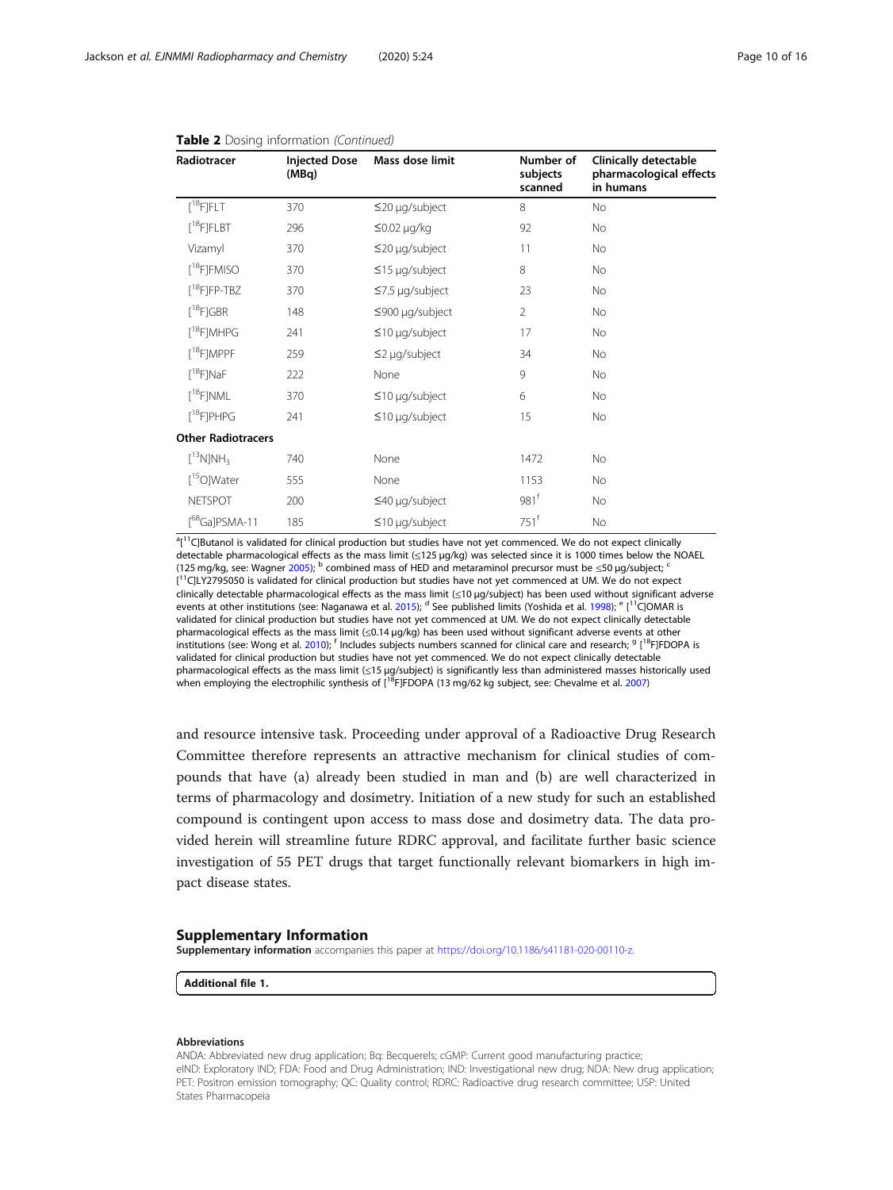| Radiotracer                    | <b>Injected Dose</b><br>(MBq) | Mass dose limit       | Number of<br>subjects<br>scanned | <b>Clinically detectable</b><br>pharmacological effects<br>in humans |
|--------------------------------|-------------------------------|-----------------------|----------------------------------|----------------------------------------------------------------------|
| $[^{18}F]FLT$                  | 370                           | $\leq$ 20 µg/subject  | 8                                | No                                                                   |
| $[$ <sup>18</sup> F]FLBT       | 296                           | $\leq$ 0.02 µg/kg     | 92                               | <b>No</b>                                                            |
| Vizamyl                        | 370                           | $\leq$ 20 µg/subject  | 11                               | No                                                                   |
| $\lceil$ <sup>18</sup> F]FMISO | 370                           | $\leq$ 15 µg/subject  | 8                                | No                                                                   |
| $[^{18}F]$ FP-TBZ              | 370                           | $\leq$ 7.5 µg/subject | 23                               | No                                                                   |
| $[^{18}F]$ GBR                 | 148                           | $\leq$ 900 µg/subject | $\overline{2}$                   | <b>No</b>                                                            |
| $\lceil$ <sup>18</sup> F]MHPG  | 241                           | $\leq$ 10 µg/subject  | 17                               | <b>No</b>                                                            |
| $[^{18}F]MPPF$                 | 259                           | $\leq$ 2 µg/subject   | 34                               | No                                                                   |
| $\lceil$ <sup>18</sup> F]NaF   | 222                           | None                  | 9                                | No                                                                   |
| $[$ <sup>18</sup> F]NML        | 370                           | $\leq$ 10 µg/subject  | 6                                | No                                                                   |
| $[^{18}F]$ PHPG                | 241                           | $\leq$ 10 µg/subject  | 15                               | No                                                                   |
| <b>Other Radiotracers</b>      |                               |                       |                                  |                                                                      |
| $[{}^{13}N]NH_3$               | 740                           | None                  | 1472                             | <b>No</b>                                                            |
| $[^{15}O]$ Water               | 555                           | None                  | 1153                             | <b>No</b>                                                            |
| <b>NETSPOT</b>                 | 200                           | $\leq$ 40 µg/subject  | 981 <sup>f</sup>                 | <b>No</b>                                                            |
| [ <sup>68</sup> Ga]PSMA-11     | 185                           | $\leq$ 10 µg/subject  | $751^{\mathrm{f}}$               | No                                                                   |

#### <span id="page-9-0"></span>Table 2 Dosing information (Continued)

<sup>a</sup>[<sup>11</sup>C]Butanol is validated for clinical production but studies have not yet commenced. We do not expect clinically detectable pharmacological effects as the mass limit (≤125 μg/kg) was selected since it is 1000 times below the NOAEL (125 mg/kg, see: Wagner [2005\)](#page-14-0); <sup>b</sup> combined mass of HED and metaraminol precursor must be  $\leq$ 50 µg/subject; <sup>6</sup> [<sup>11</sup>C]LY2795050 is validated for clinical production but studies have not yet commenced at UM. We do not expect clinically detectable pharmacological effects as the mass limit (≤10 μg/subject) has been used without significant adverse events at other institutions (see: Naganawa et al. [2015](#page-13-0)); <sup>d</sup> See published limits (Yoshida et al. [1998\)](#page-15-0); <sup>e</sup> [<sup>11</sup>C]OMAR is validated for clinical production but studies have not yet commenced at UM. We do not expect clinically detectable pharmacological effects as the mass limit (≤0.14 μg/kg) has been used without significant adverse events at other institutions (see: Wong et al. [2010\)](#page-15-0); <sup>f</sup> Includes subjects numbers scanned for clinical care and research; <sup>g</sup> [<sup>18</sup>FJFDOPA is validated for clinical production but studies have not yet commenced. We do not expect clinically detectable pharmacological effects as the mass limit (≤15 μg/subject) is significantly less than administered masses historically used when employing the electrophilic synthesis of [<sup>18</sup>F]FDOPA (13 mg/62 kg subject, see: Chevalme et al. [2007\)](#page-11-0)

and resource intensive task. Proceeding under approval of a Radioactive Drug Research Committee therefore represents an attractive mechanism for clinical studies of compounds that have (a) already been studied in man and (b) are well characterized in terms of pharmacology and dosimetry. Initiation of a new study for such an established compound is contingent upon access to mass dose and dosimetry data. The data provided herein will streamline future RDRC approval, and facilitate further basic science investigation of 55 PET drugs that target functionally relevant biomarkers in high impact disease states.

#### Supplementary Information

Supplementary information accompanies this paper at [https://doi.org/10.1186/s41181-020-00110-z.](https://doi.org/10.1186/s41181-020-00110-z)

Additional file 1.

#### Abbreviations

ANDA: Abbreviated new drug application; Bq: Becquerels; cGMP: Current good manufacturing practice; eIND: Exploratory IND; FDA: Food and Drug Administration; IND: Investigational new drug; NDA: New drug application; PET: Positron emission tomography; QC: Quality control; RDRC: Radioactive drug research committee; USP: United States Pharmacopeia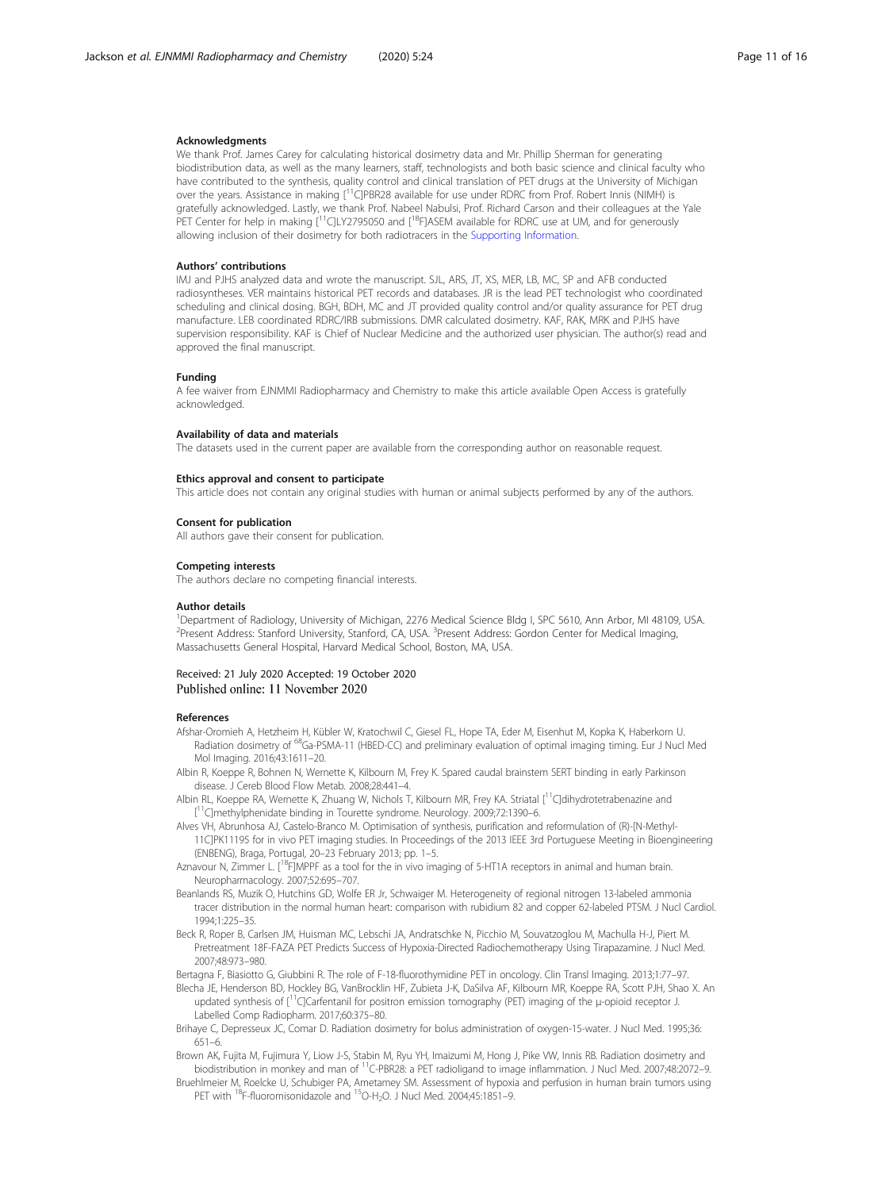#### <span id="page-10-0"></span>Acknowledgments

We thank Prof. James Carey for calculating historical dosimetry data and Mr. Phillip Sherman for generating biodistribution data, as well as the many learners, staff, technologists and both basic science and clinical faculty who have contributed to the synthesis, quality control and clinical translation of PET drugs at the University of Michigan over the years. Assistance in making [<sup>11</sup>C]PBR28 available for use under RDRC from Prof. Robert Innis (NIMH) is gratefully acknowledged. Lastly, we thank Prof. Nabeel Nabulsi, Prof. Richard Carson and their colleagues at the Yale PET Center for help in making  $I^{11}C|LY2795050$  and  $I^{18}F|ASEM$  available for RDRC use at UM, and for generously allowing inclusion of their dosimetry for both radiotracers in the [Supporting Information.](#page-9-0)

#### Authors' contributions

IMJ and PJHS analyzed data and wrote the manuscript. SJL, ARS, JT, XS, MER, LB, MC, SP and AFB conducted radiosyntheses. VER maintains historical PET records and databases. JR is the lead PET technologist who coordinated scheduling and clinical dosing. BGH, BDH, MC and JT provided quality control and/or quality assurance for PET drug manufacture. LEB coordinated RDRC/IRB submissions. DMR calculated dosimetry. KAF, RAK, MRK and PJHS have supervision responsibility. KAF is Chief of Nuclear Medicine and the authorized user physician. The author(s) read and approved the final manuscript.

#### Funding

A fee waiver from EJNMMI Radiopharmacy and Chemistry to make this article available Open Access is gratefully acknowledged.

#### Availability of data and materials

The datasets used in the current paper are available from the corresponding author on reasonable request.

#### Ethics approval and consent to participate

This article does not contain any original studies with human or animal subjects performed by any of the authors.

#### Consent for publication

All authors gave their consent for publication.

#### Competing interests

The authors declare no competing financial interests.

#### Author details

<sup>1</sup>Department of Radiology, University of Michigan, 2276 Medical Science Bldg I, SPC 5610, Ann Arbor, MI 48109, USA <sup>2</sup> Present Address: Stanford University, Stanford, CA, USA. <sup>3</sup> Present Address: Gordon Center for Medical Imaging, Massachusetts General Hospital, Harvard Medical School, Boston, MA, USA.

#### Received: 21 July 2020 Accepted: 19 October 2020 Published online: 11 November 2020

#### References

- Afshar-Oromieh A, Hetzheim H, Kübler W, Kratochwil C, Giesel FL, Hope TA, Eder M, Eisenhut M, Kopka K, Haberkorn U. Radiation dosimetry of <sup>68</sup>Ga-PSMA-11 (HBED-CC) and preliminary evaluation of optimal imaging timing. Eur J Nucl Med Mol Imaging. 2016;43:1611–20.
- Albin R, Koeppe R, Bohnen N, Wernette K, Kilbourn M, Frey K. Spared caudal brainstem SERT binding in early Parkinson disease. J Cereb Blood Flow Metab. 2008;28:441–4.
- Albin RL, Koeppe RA, Wernette K, Zhuang W, Nichols T, Kilbourn MR, Frey KA. Striatal [11C]dihydrotetrabenazine and [<sup>11</sup>C]methylphenidate binding in Tourette syndrome. Neurology. 2009;72:1390-6.
- Alves VH, Abrunhosa AJ, Castelo-Branco M. Optimisation of synthesis, purification and reformulation of (R)-[N-Methyl-11C]PK11195 for in vivo PET imaging studies. In Proceedings of the 2013 IEEE 3rd Portuguese Meeting in Bioengineering (ENBENG), Braga, Portugal, 20–23 February 2013; pp. 1–5.
- Aznavour N, Zimmer L. [<sup>18</sup>F]MPPF as a tool for the in vivo imaging of 5-HT1A receptors in animal and human brain. Neuropharmacology. 2007;52:695–707.
- Beanlands RS, Muzik O, Hutchins GD, Wolfe ER Jr, Schwaiger M. Heterogeneity of regional nitrogen 13-labeled ammonia tracer distribution in the normal human heart: comparison with rubidium 82 and copper 62-labeled PTSM. J Nucl Cardiol. 1994;1:225–35.
- Beck R, Roper B, Carlsen JM, Huisman MC, Lebschi JA, Andratschke N, Picchio M, Souvatzoglou M, Machulla H-J, Piert M. Pretreatment 18F-FAZA PET Predicts Success of Hypoxia-Directed Radiochemotherapy Using Tirapazamine. J Nucl Med. 2007;48:973–980.
- Bertagna F, Biasiotto G, Giubbini R. The role of F-18-fluorothymidine PET in oncology. Clin Transl Imaging. 2013;1:77–97.
- Blecha JE, Henderson BD, Hockley BG, VanBrocklin HF, Zubieta J-K, DaSilva AF, Kilbourn MR, Koeppe RA, Scott PJH, Shao X. An updated synthesis of [11C]Carfentanil for positron emission tomography (PET) imaging of the μ-opioid receptor J. Labelled Comp Radiopharm. 2017;60:375–80.
- Brihaye C, Depresseux JC, Comar D. Radiation dosimetry for bolus administration of oxygen-15-water. J Nucl Med. 1995;36: 651–6.
- Brown AK, Fujita M, Fujimura Y, Liow J-S, Stabin M, Ryu YH, Imaizumi M, Hong J, Pike VW, Innis RB. Radiation dosimetry and biodistribution in monkey and man of 11C-PBR28: a PET radioligand to image inflammation. J Nucl Med. 2007;48:2072–9.
- Bruehlmeier M, Roelcke U, Schubiger PA, Ametamey SM. Assessment of hypoxia and perfusion in human brain tumors using PET with <sup>18</sup>F-fluoromisonidazole and <sup>15</sup>O-H<sub>2</sub>O. J Nucl Med. 2004;45:1851–9.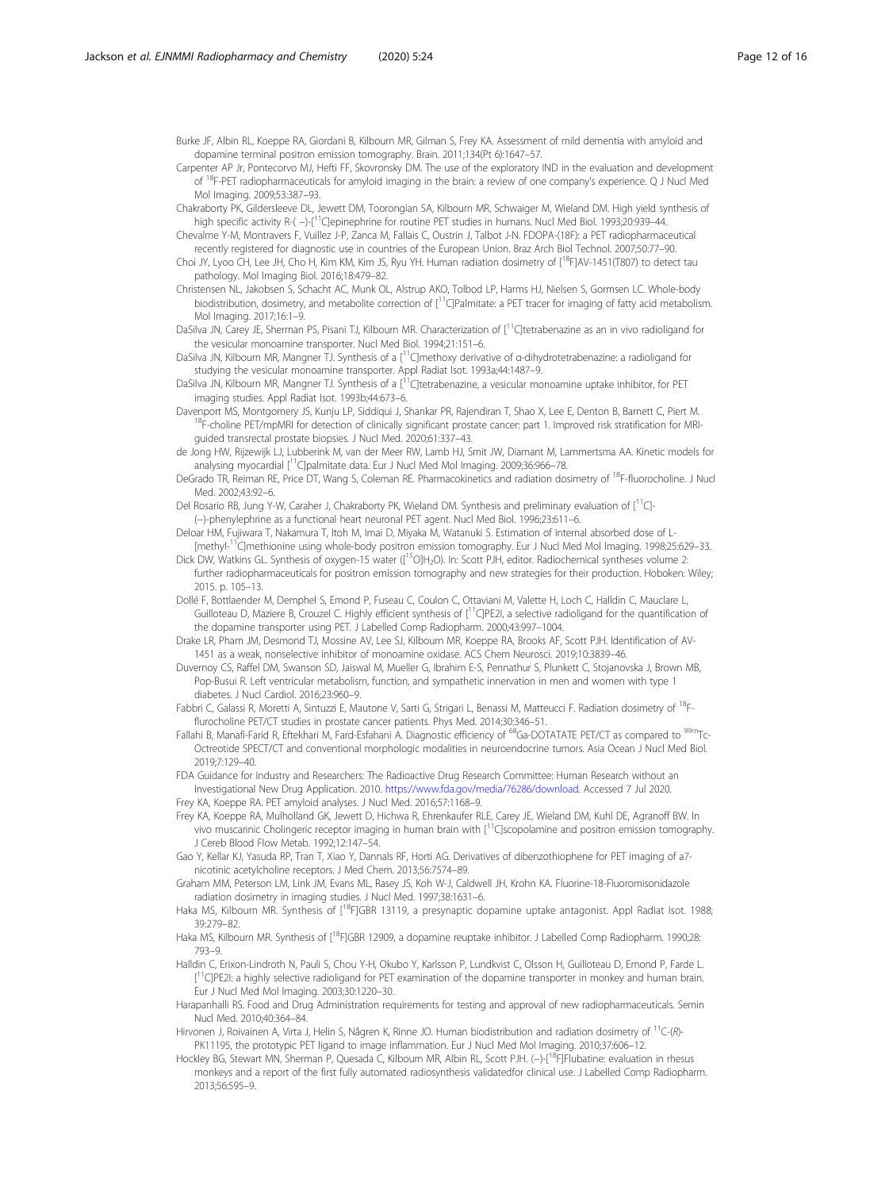<span id="page-11-0"></span>Burke JF, Albin RL, Koeppe RA, Giordani B, Kilbourn MR, Gilman S, Frey KA. Assessment of mild dementia with amyloid and dopamine terminal positron emission tomography. Brain. 2011;134(Pt 6):1647–57.

- Carpenter AP Jr, Pontecorvo MJ, Hefti FF, Skovronsky DM. The use of the exploratory IND in the evaluation and development of 18F-PET radiopharmaceuticals for amyloid imaging in the brain: a review of one company's experience. Q J Nucl Med Mol Imaging. 2009;53:387–93.
- Chakraborty PK, Gildersleeve DL, Jewett DM, Toorongian SA, Kilbourn MR, Schwaiger M, Wieland DM. High yield synthesis of high specific activity R-(-)-[<sup>11</sup>C]epinephrine for routine PET studies in humans. Nucl Med Biol. 1993;20:939-44.
- Chevalme Y-M, Montravers F, Vuillez J-P, Zanca M, Fallais C, Oustrin J, Talbot J-N. FDOPA-(18F): a PET radiopharmaceutical recently registered for diagnostic use in countries of the European Union. Braz Arch Biol Technol. 2007;50:77–90.
- Choi JY, Lyoo CH, Lee JH, Cho H, Kim KM, Kim JS, Ryu YH. Human radiation dosimetry of [<sup>18</sup>F]AV-1451(T807) to detect tau pathology. Mol Imaging Biol. 2016;18:479–82.
- Christensen NL, Jakobsen S, Schacht AC, Munk OL, Alstrup AKO, Tolbod LP, Harms HJ, Nielsen S, Gormsen LC. Whole-body biodistribution, dosimetry, and metabolite correction of [<sup>11</sup>C]Palmitate: a PET tracer for imaging of fatty acid metabolism. Mol Imaging. 2017;16:1–9.
- DaSilva JN, Carey JE, Sherman PS, Pisani TJ, Kilbourn MR. Characterization of [<sup>11</sup>C]tetrabenazine as an in vivo radioligand for the vesicular monoamine transporter. Nucl Med Biol. 1994;21:151–6.
- DaSilva JN, Kilbourn MR, Mangner TJ. Synthesis of a [11C]methoxy derivative of α-dihydrotetrabenazine: a radioligand for studying the vesicular monoamine transporter. Appl Radiat Isot. 1993a;44:1487–9.
- DaSilva JN, Kilbourn MR, Mangner TJ. Synthesis of a [<sup>11</sup>C]tetrabenazine, a vesicular monoamine uptake inhibitor, for PET imaging studies. Appl Radiat Isot. 1993b;44:673-6.<br>Davenport MS, Montgomery JS, Kunju LP, Siddiqui J, Shankar PR, Rajendiran T, Shao X, Lee E, Denton B, Barnett C, Piert M.
- <sup>18</sup>F-choline PET/mpMRI for detection of clinically significant prostate cancer: part 1. Improved risk stratification for MRIguided transrectal prostate biopsies. J Nucl Med. 2020;61:337–43.
- de Jong HW, Rijzewijk LJ, Lubberink M, van der Meer RW, Lamb HJ, Smit JW, Diamant M, Lammertsma AA. Kinetic models for analysing myocardial [<sup>11</sup>C]palmitate data. Eur J Nucl Med Mol Imaging. 2009;36:966–78.
- DeGrado TR, Reiman RE, Price DT, Wang S, Coleman RE. Pharmacokinetics and radiation dosimetry of 18F-fluorocholine. J Nucl Med. 2002;43:92–6.
- Del Rosario RB, Jung Y-W, Caraher J, Chakraborty PK, Wieland DM. Synthesis and preliminary evaluation of [<sup>11</sup>C]-(−)-phenylephrine as a functional heart neuronal PET agent. Nucl Med Biol. 1996;23:611–6.
- Deloar HM, Fujiwara T, Nakamura T, Itoh M, Imai D, Miyaka M, Watanuki S. Estimation of internal absorbed dose of L- [methyl-11C]methionine using whole-body positron emission tomography. Eur J Nucl Med Mol Imaging. 1998;25:629–33.
- Dick DW, Watkins GL. Synthesis of oxygen-15 water ([<sup>15</sup>O]H<sub>2</sub>O). In: Scott PJH, editor. Radiochemical syntheses volume 2: further radiopharmaceuticals for positron emission tomography and new strategies for their production. Hoboken: Wiley; 2015. p. 105–13.
- Dollé F, Bottlaender M, Demphel S, Emond P, Fuseau C, Coulon C, Ottaviani M, Valette H, Loch C, Halldin C, Mauclare L, Guilloteau D, Maziere B, Crouzel C. Highly efficient synthesis of [<sup>11</sup>C]PE2I, a selective radioligand for the quantification of the dopamine transporter using PET. J Labelled Comp Radiopharm. 2000;43:997–1004.
- Drake LR, Pham JM, Desmond TJ, Mossine AV, Lee SJ, Kilbourn MR, Koeppe RA, Brooks AF, Scott PJH. Identification of AV-1451 as a weak, nonselective inhibitor of monoamine oxidase. ACS Chem Neurosci. 2019;10:3839–46.
- Duvernoy CS, Raffel DM, Swanson SD, Jaiswal M, Mueller G, Ibrahim E-S, Pennathur S, Plunkett C, Stojanovska J, Brown MB, Pop-Busui R. Left ventricular metabolism, function, and sympathetic innervation in men and women with type 1 diabetes. J Nucl Cardiol. 2016;23:960–9.
- Fabbri C, Galassi R, Moretti A, Sintuzzi E, Mautone V, Sarti G, Strigari L, Benassi M, Matteucci F. Radiation dosimetry of <sup>18</sup>Fflurocholine PET/CT studies in prostate cancer patients. Phys Med. 2014;30:346–51.
- Fallahi B, Manafi-Farid R, Eftekhari M, Fard-Esfahani A. Diagnostic efficiency of <sup>68</sup>Ga-DOTATATE PET/CT as compared to <sup>99m</sup>Tc-Octreotide SPECT/CT and conventional morphologic modalities in neuroendocrine tumors. Asia Ocean J Nucl Med Biol. 2019;7:129–40.
- FDA Guidance for Industry and Researchers: The Radioactive Drug Research Committee: Human Research without an Investigational New Drug Application. 2010. <https://www.fda.gov/media/76286/download>. Accessed 7 Jul 2020.
- Frey KA, Koeppe RA. PET amyloid analyses. J Nucl Med. 2016;57:1168–9.
- Frey KA, Koeppe RA, Mulholland GK, Jewett D, Hichwa R, Ehrenkaufer RLE, Carey JE, Wieland DM, Kuhl DE, Agranoff BW. In vivo muscarinic Cholingeric receptor imaging in human brain with [11C]scopolamine and positron emission tomography. J Cereb Blood Flow Metab. 1992;12:147–54.
- Gao Y, Kellar KJ, Yasuda RP, Tran T, Xiao Y, Dannals RF, Horti AG. Derivatives of dibenzothiophene for PET imaging of a7 nicotinic acetylcholine receptors. J Med Chem. 2013;56:7574–89.
- Graham MM, Peterson LM, Link JM, Evans ML, Rasey JS, Koh W-J, Caldwell JH, Krohn KA. Fluorine-18-Fluoromisonidazole radiation dosimetry in imaging studies. J Nucl Med. 1997;38:1631–6.
- Haka MS, Kilbourn MR. Synthesis of [<sup>18</sup>FJGBR 13119, a presynaptic dopamine uptake antagonist. Appl Radiat Isot. 1988; 39:279–82.
- Haka MS, Kilbourn MR. Synthesis of [<sup>18</sup>F]GBR 12909, a dopamine reuptake inhibitor. J Labelled Comp Radiopharm. 1990;28: 793–9.
- Halldin C, Erixon-Lindroth N, Pauli S, Chou Y-H, Okubo Y, Karlsson P, Lundkvist C, Olsson H, Guilloteau D, Emond P, Farde L. [<sup>11</sup>C]PE2I: a highly selective radioligand for PET examination of the dopamine transporter in monkey and human brain. Eur J Nucl Med Mol Imaging. 2003;30:1220–30.
- Harapanhalli RS. Food and Drug Administration requirements for testing and approval of new radiopharmaceuticals. Semin Nucl Med. 2010;40:364–84.
- Hirvonen J, Roivainen A, Virta J, Helin S, Någren K, Rinne JO. Human biodistribution and radiation dosimetry of <sup>11</sup>C-(R)-PK11195, the prototypic PET ligand to image inflammation. Eur J Nucl Med Mol Imaging. 2010;37:606–12.
- Hockley BG, Stewart MN, Sherman P, Quesada C, Kilbourn MR, Albin RL, Scott PJH. (−)-[<sup>18</sup>F]Flubatine: evaluation in rhesus monkeys and a report of the first fully automated radiosynthesis validatedfor clinical use. J Labelled Comp Radiopharm. 2013;56:595–9.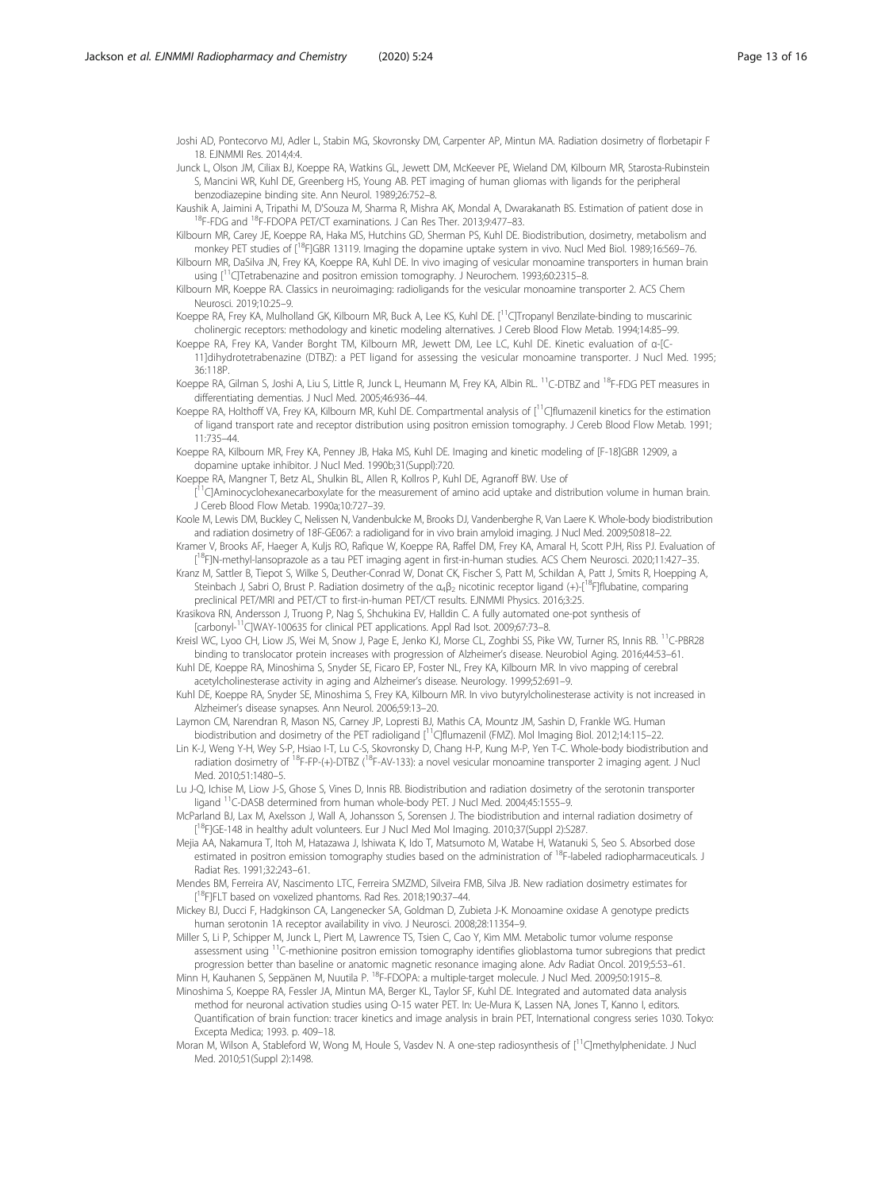<span id="page-12-0"></span>Joshi AD, Pontecorvo MJ, Adler L, Stabin MG, Skovronsky DM, Carpenter AP, Mintun MA. Radiation dosimetry of florbetapir F 18. EJNMMI Res. 2014;4:4.

Junck L, Olson JM, Ciliax BJ, Koeppe RA, Watkins GL, Jewett DM, McKeever PE, Wieland DM, Kilbourn MR, Starosta-Rubinstein S, Mancini WR, Kuhl DE, Greenberg HS, Young AB. PET imaging of human gliomas with ligands for the peripheral benzodiazepine binding site. Ann Neurol. 1989;26:752–8.

Kaushik A, Jaimini A, Tripathi M, D'Souza M, Sharma R, Mishra AK, Mondal A, Dwarakanath BS. Estimation of patient dose in <sup>18</sup>F-FDG and <sup>18</sup>F-FDOPA PET/CT examinations. J Can Res Ther. 2013;9:477–83.

Kilbourn MR, Carey JE, Koeppe RA, Haka MS, Hutchins GD, Sherman PS, Kuhl DE. Biodistribution, dosimetry, metabolism and monkey PET studies of [<sup>18</sup>F]GBR 13119. Imaging the dopamine uptake system in vivo. Nucl Med Biol. 1989;16:569-76

Kilbourn MR, DaSilva JN, Frey KA, Koeppe RA, Kuhl DE. In vivo imaging of vesicular monoamine transporters in human brain using [<sup>11</sup>C]Tetrabenazine and positron emission tomography. J Neurochem. 1993;60:2315-8.

Kilbourn MR, Koeppe RA. Classics in neuroimaging: radioligands for the vesicular monoamine transporter 2. ACS Chem Neurosci. 2019;10:25–9.

Koeppe RA, Frey KA, Mulholland GK, Kilbourn MR, Buck A, Lee KS, Kuhl DE. [<sup>11</sup>C]Tropanyl Benzilate-binding to muscarinic cholinergic receptors: methodology and kinetic modeling alternatives. J Cereb Blood Flow Metab. 1994;14:85–99.

Koeppe RA, Frey KA, Vander Borght TM, Kilbourn MR, Jewett DM, Lee LC, Kuhl DE. Kinetic evaluation of α-[C-11]dihydrotetrabenazine (DTBZ): a PET ligand for assessing the vesicular monoamine transporter. J Nucl Med. 1995; 36:118P.

Koeppe RA, Gilman S, Joshi A, Liu S, Little R, Junck L, Heumann M, Frey KA, Albin RL. <sup>11</sup>C-DTBZ and <sup>18</sup>F-FDG PET measures in differentiating dementias. J Nucl Med. 2005;46:936–44.

Koeppe RA, Holthoff VA, Frey KA, Kilbourn MR, Kuhl DE. Compartmental analysis of [<sup>11</sup>C]flumazenil kinetics for the estimation of ligand transport rate and receptor distribution using positron emission tomography. J Cereb Blood Flow Metab. 1991; 11:735–44.

Koeppe RA, Kilbourn MR, Frey KA, Penney JB, Haka MS, Kuhl DE. Imaging and kinetic modeling of [F-18]GBR 12909, a dopamine uptake inhibitor. J Nucl Med. 1990b;31(Suppl):720.

Koeppe RA, Mangner T, Betz AL, Shulkin BL, Allen R, Kollros P, Kuhl DE, Agranoff BW. Use of

[<sup>11</sup>C]Aminocyclohexanecarboxylate for the measurement of amino acid uptake and distribution volume in human brain J Cereb Blood Flow Metab. 1990a;10:727–39.

Koole M, Lewis DM, Buckley C, Nelissen N, Vandenbulcke M, Brooks DJ, Vandenberghe R, Van Laere K. Whole-body biodistribution and radiation dosimetry of 18F-GE067: a radioligand for in vivo brain amyloid imaging. J Nucl Med. 2009;50:818–22.

Kramer V, Brooks AF, Haeger A, Kuljs RO, Rafique W, Koeppe RA, Raffel DM, Frey KA, Amaral H, Scott PJH, Riss PJ. Evaluation of [<sup>18</sup>F]N-methyl-lansoprazole as a tau PET imaging agent in first-in-human studies. ACS Chem Neurosci. 2020;11:427–35.

Kranz M, Sattler B, Tiepot S, Wilke S, Deuther-Conrad W, Donat CK, Fischer S, Patt M, Schildan A, Patt J, Smits R, Hoepping A, Steinbach J, Sabri O, Brust P. Radiation dosimetry of the  $\alpha_4\beta_2$  nicotinic receptor ligand (+)-[<sup>18</sup>F]flubatine, comparing preclinical PET/MRI and PET/CT to first-in-human PET/CT results. EJNMMI Physics. 2016;3:25.

Krasikova RN, Andersson J, Truong P, Nag S, Shchukina EV, Halldin C. A fully automated one-pot synthesis of [carbonyl-<sup>11</sup>C]WAY-100635 for clinical PET applications. Appl Rad Isot. 2009;67:73-8.

Kreisl WC, Lyoo CH, Liow JS, Wei M, Snow J, Page E, Jenko KJ, Morse CL, Zoghbi SS, Pike WV, Turner RS, Innis RB. <sup>11</sup>C-PBR28 binding to translocator protein increases with progression of Alzheimer's disease. Neurobiol Aging. 2016;44:53–61.

Kuhl DE, Koeppe RA, Minoshima S, Snyder SE, Ficaro EP, Foster NL, Frey KA, Kilbourn MR. In vivo mapping of cerebral acetylcholinesterase activity in aging and Alzheimer's disease. Neurology. 1999;52:691–9.

Kuhl DE, Koeppe RA, Snyder SE, Minoshima S, Frey KA, Kilbourn MR. In vivo butyrylcholinesterase activity is not increased in Alzheimer's disease synapses. Ann Neurol. 2006;59:13–20.

Laymon CM, Narendran R, Mason NS, Carney JP, Lopresti BJ, Mathis CA, Mountz JM, Sashin D, Frankle WG. Human biodistribution and dosimetry of the PET radioligand [<sup>11</sup>C]flumazenil (FMZ). Mol Imaging Biol. 2012;14:115–22.

Lin K-J, Weng Y-H, Wey S-P, Hsiao I-T, Lu C-S, Skovronsky D, Chang H-P, Kung M-P, Yen T-C. Whole-body biodistribution and radiation dosimetry of <sup>18</sup>F-FP-(+)-DTBZ (<sup>18</sup>F-AV-133): a novel vesicular monoamine transporter 2 imaging agent. J Nucl Med. 2010;51:1480–5.

Lu J-Q, Ichise M, Liow J-S, Ghose S, Vines D, Innis RB. Biodistribution and radiation dosimetry of the serotonin transporter ligand 11C-DASB determined from human whole-body PET. J Nucl Med. 2004;45:1555–9.

McParland BJ, Lax M, Axelsson J, Wall A, Johansson S, Sorensen J. The biodistribution and internal radiation dosimetry of [<sup>18</sup>FJGE-148 in healthy adult volunteers. Eur J Nucl Med Mol Imaging. 2010;37(Suppl 2):S287.

Mejia AA, Nakamura T, Itoh M, Hatazawa J, Ishiwata K, Ido T, Matsumoto M, Watabe H, Watanuki S, Seo S. Absorbed dose estimated in positron emission tomography studies based on the administration of <sup>18</sup>F-labeled radiopharmaceuticals. J Radiat Res. 1991;32:243–61.

Mendes BM, Ferreira AV, Nascimento LTC, Ferreira SMZMD, Silveira FMB, Silva JB. New radiation dosimetry estimates for [<sup>18</sup>F]FLT based on voxelized phantoms. Rad Res. 2018;190:37-44.

Mickey BJ, Ducci F, Hadgkinson CA, Langenecker SA, Goldman D, Zubieta J-K. Monoamine oxidase A genotype predicts human serotonin 1A receptor availability in vivo. J Neurosci. 2008;28:11354–9.

Miller S, Li P, Schipper M, Junck L, Piert M, Lawrence TS, Tsien C, Cao Y, Kim MM. Metabolic tumor volume response assessment using <sup>11</sup>C-methionine positron emission tomography identifies glioblastoma tumor subregions that predict progression better than baseline or anatomic magnetic resonance imaging alone. Adv Radiat Oncol. 2019;5:53–61. Minn H, Kauhanen S, Seppänen M, Nuutila P. 18F-FDOPA: a multiple-target molecule. J Nucl Med. 2009;50:1915–8.

Minoshima S, Koeppe RA, Fessler JA, Mintun MA, Berger KL, Taylor SF, Kuhl DE. Integrated and automated data analysis method for neuronal activation studies using O-15 water PET. In: Ue-Mura K, Lassen NA, Jones T, Kanno I, editors. Quantification of brain function: tracer kinetics and image analysis in brain PET, International congress series 1030. Tokyo: Excepta Medica; 1993. p. 409–18.

Moran M, Wilson A, Stableford W, Wong M, Houle S, Vasdev N. A one-step radiosynthesis of [<sup>11</sup>C]methylphenidate. J Nucl Med. 2010;51(Suppl 2):1498.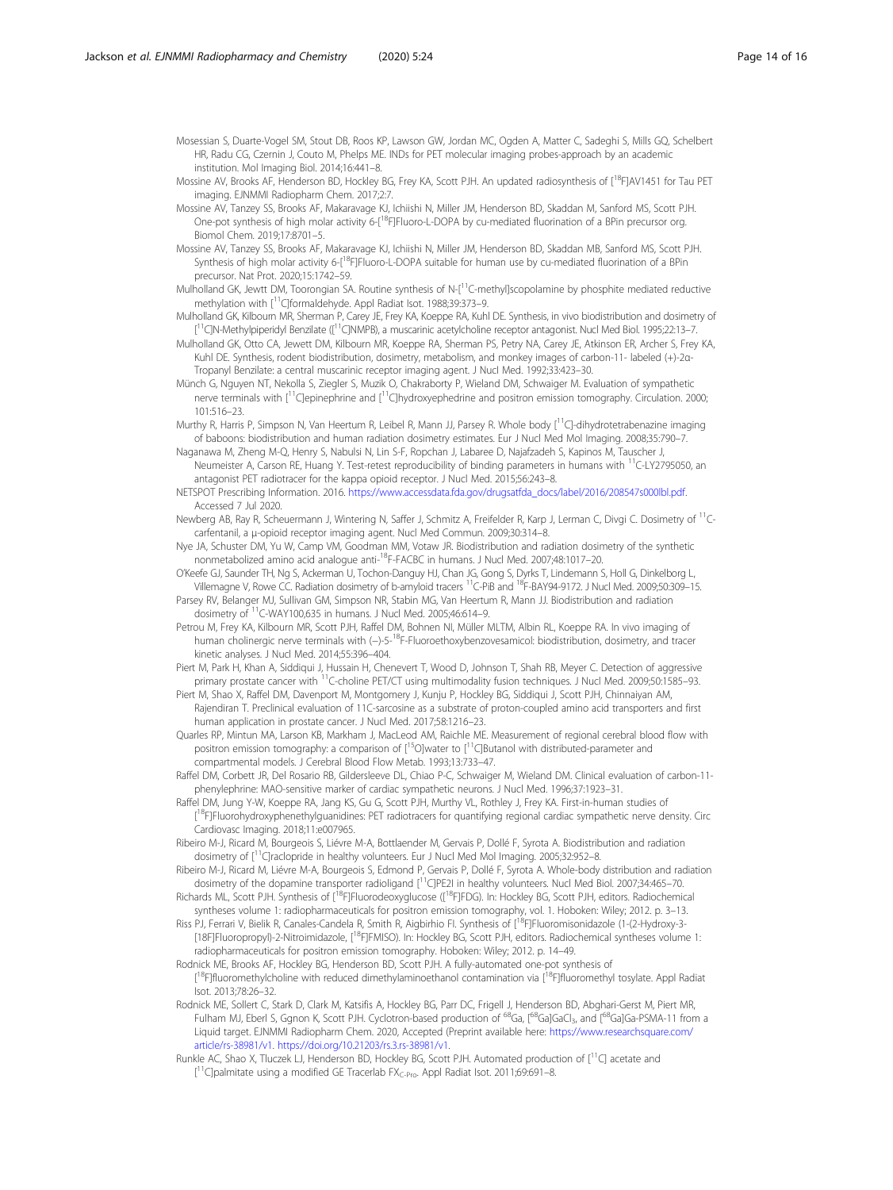<span id="page-13-0"></span>Mosessian S, Duarte-Vogel SM, Stout DB, Roos KP, Lawson GW, Jordan MC, Ogden A, Matter C, Sadeghi S, Mills GQ, Schelbert HR, Radu CG, Czernin J, Couto M, Phelps ME. INDs for PET molecular imaging probes-approach by an academic institution. Mol Imaging Biol. 2014;16:441–8.

- Mossine AV, Brooks AF, Henderson BD, Hockley BG, Frey KA, Scott PJH. An updated radiosynthesis of [<sup>18</sup>F]AV1451 for Tau PET imaging. EJNMMI Radiopharm Chem. 2017;2:7.
- Mossine AV, Tanzey SS, Brooks AF, Makaravage KJ, Ichiishi N, Miller JM, Henderson BD, Skaddan M, Sanford MS, Scott PJH. One-pot synthesis of high molar activity 6-<sup>[18</sup>F]Fluoro-L-DOPA by cu-mediated fluorination of a BPin precursor org. Biomol Chem. 2019;17:8701–5.
- Mossine AV, Tanzey SS, Brooks AF, Makaravage KJ, Ichiishi N, Miller JM, Henderson BD, Skaddan MB, Sanford MS, Scott PJH. Synthesis of high molar activity 6-<sup>[18</sup>F]Fluoro-L-DOPA suitable for human use by cu-mediated fluorination of a BPin precursor. Nat Prot. 2020;15:1742–59.
- Mulholland GK, Jewtt DM, Toorongian SA. Routine synthesis of N-[<sup>11</sup>C-methyl]scopolamine by phosphite mediated reductive methylation with [<sup>11</sup>C]formaldehyde. Appl Radiat Isot. 1988;39:373-9.
- Mulholland GK, Kilbourn MR, Sherman P, Carey JE, Frey KA, Koeppe RA, Kuhl DE. Synthesis, in vivo biodistribution and dosimetry of [<sup>11</sup>C]N-Methylpiperidyl Benzilate ([<sup>11</sup>C]NMPB), a muscarinic acetylcholine receptor antagonist. Nucl Med Biol. 1995;22:13-7.
- Mulholland GK, Otto CA, Jewett DM, Kilbourn MR, Koeppe RA, Sherman PS, Petry NA, Carey JE, Atkinson ER, Archer S, Frey KA, Kuhl DE. Synthesis, rodent biodistribution, dosimetry, metabolism, and monkey images of carbon-11- labeled (+)-2α-Tropanyl Benzilate: a central muscarinic receptor imaging agent. J NucI Med. 1992;33:423–30.
- Münch G, Nguyen NT, Nekolla S, Ziegler S, Muzik O, Chakraborty P, Wieland DM, Schwaiger M. Evaluation of sympathetic nerve terminals with [<sup>11</sup>C]epinephrine and [<sup>11</sup>C]hydroxyephedrine and positron emission tomography. Circulation. 2000; 101:516–23.
- Murthy R, Harris P, Simpson N, Van Heertum R, Leibel R, Mann JJ, Parsey R. Whole body [<sup>11</sup>C]-dihydrotetrabenazine imaging of baboons: biodistribution and human radiation dosimetry estimates. Eur J Nucl Med Mol Imaging. 2008;35:790–7.
- Naganawa M, Zheng M-Q, Henry S, Nabulsi N, Lin S-F, Ropchan J, Labaree D, Najafzadeh S, Kapinos M, Tauscher J, Neumeister A, Carson RE, Huang Y. Test-retest reproducibility of binding parameters in humans with <sup>11</sup>C-LY2795050, an antagonist PET radiotracer for the kappa opioid receptor. J Nucl Med. 2015;56:243–8.
- NETSPOT Prescribing Information. 2016. [https://www.accessdata.fda.gov/drugsatfda\\_docs/label/2016/208547s000lbl.pdf](https://www.accessdata.fda.gov/drugsatfda_docs/label/2016/208547s000lbl.pdf). Accessed 7 Jul 2020.
- Newberg AB, Ray R, Scheuermann J, Wintering N, Saffer J, Schmitz A, Freifelder R, Karp J, Lerman C, Divgi C. Dosimetry of <sup>11</sup>Ccarfentanil, a μ-opioid receptor imaging agent. Nucl Med Commun. 2009;30:314–8.
- Nye JA, Schuster DM, Yu W, Camp VM, Goodman MM, Votaw JR. Biodistribution and radiation dosimetry of the synthetic nonmetabolized amino acid analogue anti-18F-FACBC in humans. J Nucl Med. 2007;48:1017–20.
- O'Keefe GJ, Saunder TH, Ng S, Ackerman U, Tochon-Danguy HJ, Chan JG, Gong S, Dyrks T, Lindemann S, Holl G, Dinkelborg L, Villemagne V, Rowe CC. Radiation dosimetry of b-amyloid tracers 11C-PiB and 18F-BAY94-9172. J Nucl Med. 2009;50:309–15.
- Parsey RV, Belanger MJ, Sullivan GM, Simpson NR, Stabin MG, Van Heertum R, Mann JJ. Biodistribution and radiation dosimetry of 11C-WAY100,635 in humans. J Nucl Med. 2005;46:614–9.
- Petrou M, Frey KA, Kilbourn MR, Scott PJH, Raffel DM, Bohnen NI, Müller MLTM, Albin RL, Koeppe RA. In vivo imaging of human cholinergic nerve terminals with (−)-5-18F-Fluoroethoxybenzovesamicol: biodistribution, dosimetry, and tracer kinetic analyses. J Nucl Med. 2014;55:396–404.
- Piert M, Park H, Khan A, Siddiqui J, Hussain H, Chenevert T, Wood D, Johnson T, Shah RB, Meyer C. Detection of aggressive primary prostate cancer with <sup>11</sup>C-choline PET/CT using multimodality fusion techniques. J Nucl Med. 2009;50:1585-93.
- Piert M, Shao X, Raffel DM, Davenport M, Montgomery J, Kunju P, Hockley BG, Siddiqui J, Scott PJH, Chinnaiyan AM, Rajendiran T. Preclinical evaluation of 11C-sarcosine as a substrate of proton-coupled amino acid transporters and first human application in prostate cancer. J Nucl Med. 2017;58:1216–23.
- Quarles RP, Mintun MA, Larson KB, Markham J, MacLeod AM, Raichle ME. Measurement of regional cerebral blood flow with positron emission tomography: a comparison of [<sup>15</sup>O]water to [<sup>11</sup>C]Butanol with distributed-parameter and compartmental models. J Cerebral Blood Flow Metab. 1993;13:733–47.
- Raffel DM, Corbett JR, Del Rosario RB, Gildersleeve DL, Chiao P-C, Schwaiger M, Wieland DM. Clinical evaluation of carbon-11 phenylephrine: MAO-sensitive marker of cardiac sympathetic neurons. J Nucl Med. 1996;37:1923–31.
- Raffel DM, Jung Y-W, Koeppe RA, Jang KS, Gu G, Scott PJH, Murthy VL, Rothley J, Frey KA. First-in-human studies of [<sup>18</sup>F]Fluorohydroxyphenethylguanidines: PET radiotracers for quantifying regional cardiac sympathetic nerve density. Circ Cardiovasc Imaging. 2018;11:e007965.
- Ribeiro M-J, Ricard M, Bourgeois S, Liévre M-A, Bottlaender M, Gervais P, Dollé F, Syrota A. Biodistribution and radiation dosimetry of [<sup>11</sup>C]raclopride in healthy volunteers. Eur J Nucl Med Mol Imaging. 2005;32:952-8.
- Ribeiro M-J, Ricard M, Liévre M-A, Bourgeois S, Edmond P, Gervais P, Dollé F, Syrota A. Whole-body distribution and radiation dosimetry of the dopamine transporter radioligand [<sup>11</sup>C]PE2I in healthy volunteers. Nucl Med Biol. 2007;34:465–70.
- Richards ML, Scott PJH. Synthesis of [<sup>18</sup>F]Fluorodeoxyglucose ([<sup>18</sup>F]FDG). In: Hockley BG, Scott PJH, editors. Radiochemical syntheses volume 1: radiopharmaceuticals for positron emission tomography, vol. 1. Hoboken: Wiley; 2012. p. 3–13.
- Riss PJ, Ferrari V, Bielik R, Canales-Candela R, Smith R, Aigbirhio FI. Synthesis of [<sup>18</sup>F]Fluoromisonidazole (1-(2-Hydroxy-3-[18F]Fluoropropyl)-2-Nitroimidazole, [18F]FMISO). In: Hockley BG, Scott PJH, editors. Radiochemical syntheses volume 1: radiopharmaceuticals for positron emission tomography. Hoboken: Wiley; 2012. p. 14–49.
- Rodnick ME, Brooks AF, Hockley BG, Henderson BD, Scott PJH. A fully-automated one-pot synthesis of [<sup>18</sup>F]fluoromethylcholine with reduced dimethylaminoethanol contamination via [<sup>18</sup>F]fluoromethyl tosylate. Appl Radiat Isot. 2013;78:26–32.
- Rodnick ME, Sollert C, Stark D, Clark M, Katsifis A, Hockley BG, Parr DC, Frigell J, Henderson BD, Abghari-Gerst M, Piert MR, Fulham MJ, Eberl S, Ggnon K, Scott PJH. Cyclotron-based production of <sup>68</sup>Ga, [<sup>68</sup>Ga]GaCl<sub>3</sub>, and [<sup>68</sup>Ga]Ga-PSMA-11 from a Liquid target. EJNMMI Radiopharm Chem. 2020, Accepted (Preprint available here: [https://www.researchsquare.com/](https://www.researchsquare.com/article/rs-38981/v1) [article/rs-38981/v1.](https://www.researchsquare.com/article/rs-38981/v1) <https://doi.org/10.21203/rs.3.rs-38981/v1>.
- Runkle AC, Shao X, Tluczek LJ, Henderson BD, Hockley BG, Scott PJH. Automated production of  $[1^1C]$  acetate and [<sup>11</sup>C]palmitate using a modified GE Tracerlab FX<sub>C-Pro</sub>. Appl Radiat Isot. 2011;69:691-8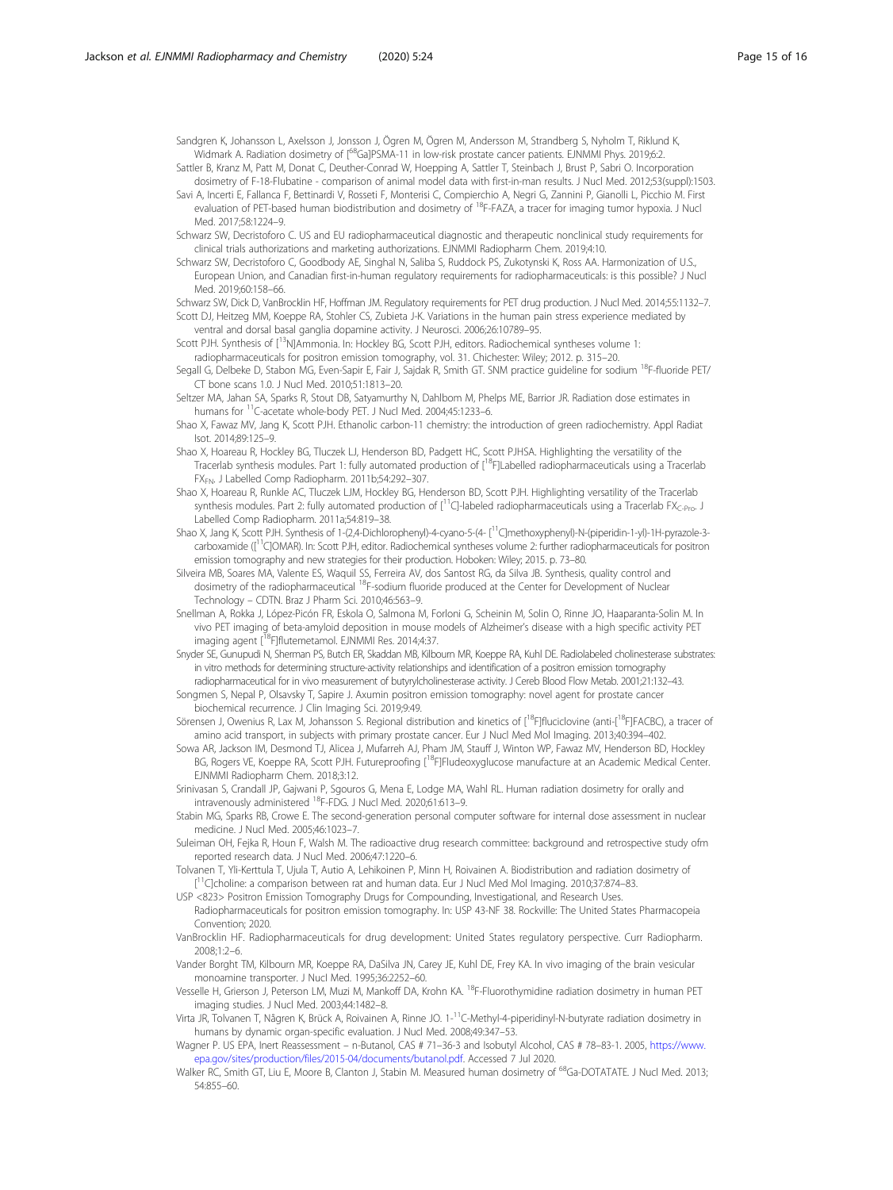<span id="page-14-0"></span>Sandgren K, Johansson L, Axelsson J, Jonsson J, Ögren M, Ögren M, Andersson M, Strandberg S, Nyholm T, Riklund K, Widmark A. Radiation dosimetry of [<sup>68</sup>Ga]PSMA-11 in low-risk prostate cancer patients. EJNMMI Phys. 2019;6:2.

Sattler B, Kranz M, Patt M, Donat C, Deuther-Conrad W, Hoepping A, Sattler T, Steinbach J, Brust P, Sabri O. Incorporation dosimetry of F-18-Flubatine - comparison of animal model data with first-in-man results. J Nucl Med. 2012;53(suppl):1503.

Savi A, Incerti E, Fallanca F, Bettinardi V, Rosseti F, Monterisi C, Compierchio A, Negri G, Zannini P, Gianolli L, Picchio M. First evaluation of PET-based human biodistribution and dosimetry of <sup>18</sup>F-FAZA, a tracer for imaging tumor hypoxia. J Nucl Med. 2017;58:1224–9.

Schwarz SW, Decristoforo C. US and EU radiopharmaceutical diagnostic and therapeutic nonclinical study requirements for clinical trials authorizations and marketing authorizations. EJNMMI Radiopharm Chem. 2019;4:10.

Schwarz SW, Decristoforo C, Goodbody AE, Singhal N, Saliba S, Ruddock PS, Zukotynski K, Ross AA. Harmonization of U.S., European Union, and Canadian first-in-human regulatory requirements for radiopharmaceuticals: is this possible? J Nucl Med. 2019;60:158–66.

Schwarz SW, Dick D, VanBrocklin HF, Hoffman JM. Regulatory requirements for PET drug production. J Nucl Med. 2014;55:1132–7. Scott DJ, Heitzeg MM, Koeppe RA, Stohler CS, Zubieta J-K. Variations in the human pain stress experience mediated by ventral and dorsal basal ganglia dopamine activity. J Neurosci. 2006;26:10789–95.

Scott PJH. Synthesis of [<sup>13</sup>N]Ammonia. In: Hockley BG, Scott PJH, editors. Radiochemical syntheses volume 1: radiopharmaceuticals for positron emission tomography, vol. 31. Chichester: Wiley; 2012. p. 315–20.

Segall G, Delbeke D, Stabon MG, Even-Sapir E, Fair J, Sajdak R, Smith GT. SNM practice guideline for sodium <sup>18</sup>F-fluoride PET/ CT bone scans 1.0. J Nucl Med. 2010;51:1813–20.

Seltzer MA, Jahan SA, Sparks R, Stout DB, Satyamurthy N, Dahlbom M, Phelps ME, Barrior JR. Radiation dose estimates in humans for <sup>11</sup>C-acetate whole-body PET. J Nucl Med. 2004;45:1233-6.

Shao X, Fawaz MV, Jang K, Scott PJH. Ethanolic carbon-11 chemistry: the introduction of green radiochemistry. Appl Radiat Isot. 2014;89:125–9.

Shao X, Hoareau R, Hockley BG, Tluczek LJ, Henderson BD, Padgett HC, Scott PJHSA. Highlighting the versatility of the Tracerlab synthesis modules. Part 1: fully automated production of [<sup>18</sup>F]Labelled radiopharmaceuticals using a Tracerlab FX<sub>FN</sub>. J Labelled Comp Radiopharm. 2011b;54:292-307.

Shao X, Hoareau R, Runkle AC, Tluczek LJM, Hockley BG, Henderson BD, Scott PJH. Highlighting versatility of the Tracerlab synthesis modules. Part 2: fully automated production of  $[^{17}C]$ -labeled radiopharmaceuticals using a Tracerlab FX<sub>C-Pro</sub>. J Labelled Comp Radiopharm. 2011a;54:819–38.

Shao X, Jang K, Scott PJH. Synthesis of 1-(2,4-Dichlorophenyl)-4-cyano-5-(4- [11C]methoxyphenyl)-N-(piperidin-1-yl)-1H-pyrazole-3 carboxamide ([<sup>11</sup>C]OMAR). In: Scott PJH, editor. Radiochemical syntheses volume 2: further radiopharmaceuticals for positron emission tomography and new strategies for their production. Hoboken: Wiley; 2015. p. 73–80.

Silveira MB, Soares MA, Valente ES, Waquil SS, Ferreira AV, dos Santost RG, da Silva JB. Synthesis, quality control and dosimetry of the radiopharmaceutical <sup>18</sup>F-sodium fluoride produced at the Center for Development of Nuclear Technology – CDTN. Braz J Pharm Sci. 2010;46:563–9.

- Snellman A, Rokka J, López-Picón FR, Eskola O, Salmona M, Forloni G, Scheinin M, Solin O, Rinne JO, Haaparanta-Solin M. In vivo PET imaging of beta-amyloid deposition in mouse models of Alzheimer's disease with a high specific activity PET imaging agent [<sup>18</sup>F]flutemetamol. EJNMMI Res. 2014;4:37.
- Snyder SE, Gunupudi N, Sherman PS, Butch ER, Skaddan MB, Kilbourn MR, Koeppe RA, Kuhl DE. Radiolabeled cholinesterase substrates: in vitro methods for determining structure-activity relationships and identification of a positron emission tomography radiopharmaceutical for in vivo measurement of butyrylcholinesterase activity. J Cereb Blood Flow Metab. 2001;21:132–43.
- Songmen S, Nepal P, Olsavsky T, Sapire J. Axumin positron emission tomography: novel agent for prostate cancer biochemical recurrence. J Clin Imaging Sci. 2019;9:49.

Sörensen J, Owenius R, Lax M, Johansson S. Regional distribution and kinetics of [<sup>18</sup>F]fluciclovine (anti-[<sup>18</sup>F]FACBC), a tracer of amino acid transport, in subjects with primary prostate cancer. Eur J Nucl Med Mol Imaging. 2013;40:394–402.

- Sowa AR, Jackson IM, Desmond TJ, Alicea J, Mufarreh AJ, Pham JM, Stauff J, Winton WP, Fawaz MV, Henderson BD, Hockley BG, Rogers VE, Koeppe RA, Scott PJH. Futureproofing [<sup>18</sup>F]Fludeoxyglucose manufacture at an Academic Medical Center. EJNMMI Radiopharm Chem. 2018;3:12.
- Srinivasan S, Crandall JP, Gajwani P, Sgouros G, Mena E, Lodge MA, Wahl RL. Human radiation dosimetry for orally and intravenously administered <sup>18</sup>F-FDG. J Nucl Med. 2020;61:613-9.

Stabin MG, Sparks RB, Crowe E. The second-generation personal computer software for internal dose assessment in nuclear medicine. J Nucl Med. 2005;46:1023–7.

- Suleiman OH, Fejka R, Houn F, Walsh M. The radioactive drug research committee: background and retrospective study ofm reported research data. J Nucl Med. 2006;47:1220–6.
- Tolvanen T, Yli-Kerttula T, Ujula T, Autio A, Lehikoinen P, Minn H, Roivainen A. Biodistribution and radiation dosimetry of [<sup>11</sup>C]choline: a comparison between rat and human data. Eur J Nucl Med Mol Imaging. 2010;37:874-83.

USP <823> Positron Emission Tomography Drugs for Compounding, Investigational, and Research Uses. Radiopharmaceuticals for positron emission tomography. In: USP 43-NF 38. Rockville: The United States Pharmacopeia Convention; 2020.

- VanBrocklin HF. Radiopharmaceuticals for drug development: United States regulatory perspective. Curr Radiopharm. 2008;1:2–6.
- Vander Borght TM, Kilbourn MR, Koeppe RA, DaSilva JN, Carey JE, Kuhl DE, Frey KA. In vivo imaging of the brain vesicular monoamine transporter. J NucI Med. 1995;36:2252–60.
- Vesselle H, Grierson J, Peterson LM, Muzi M, Mankoff DA, Krohn KA. 18F-Fluorothymidine radiation dosimetry in human PET imaging studies. J Nucl Med. 2003;44:1482–8.
- Virta JR, Tolvanen T, Någren K, Brück A, Roivainen A, Rinne JO. 1-11C-Methyl-4-piperidinyl-N-butyrate radiation dosimetry in humans by dynamic organ-specific evaluation. J Nucl Med. 2008;49:347–53.

Wagner P. US EPA, Inert Reassessment – n-Butanol, CAS # 71–36-3 and Isobutyl Alcohol, CAS # 78–83-1. 2005, [https://www.](https://www.epa.gov/sites/production/files/2015-04/documents/butanol.pdf) [epa.gov/sites/production/files/2015-04/documents/butanol.pdf.](https://www.epa.gov/sites/production/files/2015-04/documents/butanol.pdf) Accessed 7 Jul 2020.

Walker RC, Smith GT, Liu E, Moore B, Clanton J, Stabin M. Measured human dosimetry of <sup>68</sup>Ga-DOTATATE. J Nucl Med. 2013; 54:855–60.